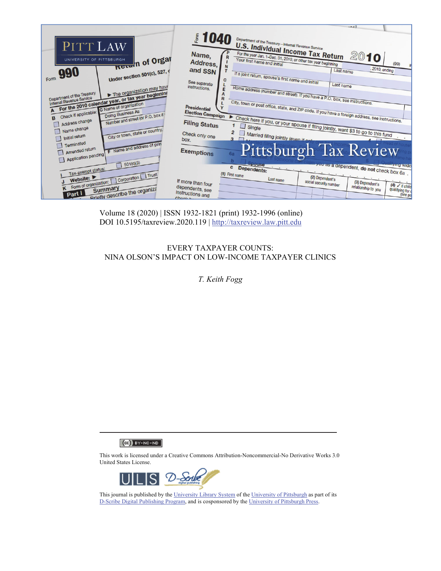|                                                                                                             |                                                                     | $-0.17$                                                                                                                                                         |
|-------------------------------------------------------------------------------------------------------------|---------------------------------------------------------------------|-----------------------------------------------------------------------------------------------------------------------------------------------------------------|
| PITT LAW                                                                                                    | 1040<br>orm                                                         | Department of the Treasury-Internal Revenue Service                                                                                                             |
| Return of Organ<br>UNIVERSITY OF PITTSBURGH                                                                 | Name,<br>R<br>Address,                                              | <b>U.S. Individual Income Tax Return</b><br>For the year Jan. 1-Dec. 31, 2010, or other tax year beginning<br>2010<br>Your first name and initial<br>(99)       |
| Form 990<br>Under section 501(c), 527, o                                                                    | N<br>and SSN                                                        | , 2010, ending<br>Last name<br>If a joint return, spouse's first name and initial                                                                               |
| The organization may have                                                                                   | C<br>See separate<br>instructions.<br>E                             | Last name                                                                                                                                                       |
| Department of the Treasury<br>For the 2010 calendar year, or tax year beginning<br>Internal Revenue Service | $\overline{R}$                                                      | Home address (number and street). If you have a P.O. box, see instructions.                                                                                     |
| Doing Business As<br>Check if applicable:<br>Number and street (or P.O. box if<br>B                         | <b>Presidential</b><br><b>Election Campaign</b>                     | City, town or post office, state, and ZIP code. If you have a foreign address, see instructions.                                                                |
| Address change<br>Name change<br>City or town, state or country,                                            | <b>Filing Status</b>                                                | Check here if you, or your spouse if filing jointly, want \$3 to go to this fund                                                                                |
| Initial return<br>Terminated<br>F Name and address of print                                                 | Check only one<br>$\mathbf{a}$<br>box.                              | Married filing jointly (even if only                                                                                                                            |
| Amended return<br>Application pending                                                                       | <b>Exemptions</b>                                                   | <b>Pittsburgh Tax Review</b>                                                                                                                                    |
| 501(c)(3)<br>Tax-exempt status:                                                                             | $\mathbf{c}$<br>(1) First name                                      | PULSE<br>you as a dependent, do not check box 6a.<br>Dependents:                                                                                                |
| K Form of organization:     Corporation     Trust<br><b>Priefly describe the organize</b><br>Part I         | If more than four<br>dependents, see<br>instructions and<br>Chack L | (2) Dependent's<br>Last name<br>social security number<br>(3) Dependent's<br>$(4)$ $\checkmark$ if child<br>relationship to you<br>qualifying for d<br>(see pal |

Volume 18 (2020) | ISSN 1932-1821 (print) 1932-1996 (online) DOI 10.5195/taxreview.2020.119 | http://taxreview.law.pitt.edu

# EVERY TAXPAYER COUNTS: NINA OLSON'S IMPACT ON LOW-INCOME TAXPAYER CLINICS

*T. Keith Fogg* 

 $(Cc)$  BY-NC-ND

This work is licensed under a Creative Commons Attribution-Noncommercial-No Derivative Works 3.0 United States License.



This journal is published by the University Library System of the University of Pittsburgh as part of its D-Scribe Digital Publishing Program, and is cosponsored by the University of Pittsburgh Press.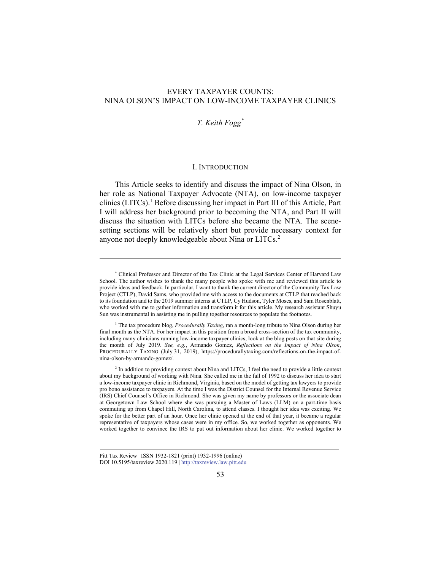# EVERY TAXPAYER COUNTS: NINA OLSON'S IMPACT ON LOW-INCOME TAXPAYER CLINICS

# *T. Keith Fogg\**

### I. INTRODUCTION

This Article seeks to identify and discuss the impact of Nina Olson, in her role as National Taxpayer Advocate (NTA), on low-income taxpayer clinics (LITCs).<sup>1</sup> Before discussing her impact in Part III of this Article, Part I will address her background prior to becoming the NTA, and Part II will discuss the situation with LITCs before she became the NTA. The scenesetting sections will be relatively short but provide necessary context for anyone not deeply knowledgeable about Nina or LITCs.<sup>2</sup>

<sup>\*</sup> Clinical Professor and Director of the Tax Clinic at the Legal Services Center of Harvard Law School. The author wishes to thank the many people who spoke with me and reviewed this article to provide ideas and feedback. In particular, I want to thank the current director of the Community Tax Law Project (CTLP), David Sams, who provided me with access to the documents at CTLP that reached back to its foundation and to the 2019 summer interns at CTLP, Cy Hudson, Tyler Moses, and Sam Rosenblatt, who worked with me to gather information and transform it for this article. My research assistant Shuyu Sun was instrumental in assisting me in pulling together resources to populate the footnotes.

<sup>1</sup> The tax procedure blog, *Procedurally Taxing*, ran a month-long tribute to Nina Olson during her final month as the NTA. For her impact in this position from a broad cross-section of the tax community, including many clinicians running low-income taxpayer clinics, look at the blog posts on that site during the month of July 2019. *See, e.g.*, Armando Gomez, *Reflections on the Impact of Nina Olson*, PROCEDURALLY TAXING (July 31, 2019), https://procedurallytaxing.com/reflections-on-the-impact-ofnina-olson-by-armando-gomez/.

<sup>&</sup>lt;sup>2</sup> In addition to providing context about Nina and LITCs, I feel the need to provide a little context about my background of working with Nina. She called me in the fall of 1992 to discuss her idea to start a low-income taxpayer clinic in Richmond, Virginia, based on the model of getting tax lawyers to provide pro bono assistance to taxpayers. At the time I was the District Counsel for the Internal Revenue Service (IRS) Chief Counsel's Office in Richmond. She was given my name by professors or the associate dean at Georgetown Law School where she was pursuing a Master of Laws (LLM) on a part-time basis commuting up from Chapel Hill, North Carolina, to attend classes. I thought her idea was exciting. We spoke for the better part of an hour. Once her clinic opened at the end of that year, it became a regular representative of taxpayers whose cases were in my office. So, we worked together as opponents. We worked together to convince the IRS to put out information about her clinic. We worked together to

Pitt Tax Review | ISSN 1932-1821 (print) 1932-1996 (online) DOI 10.5195/taxreview.2020.119 | http://taxreview.law.pitt.edu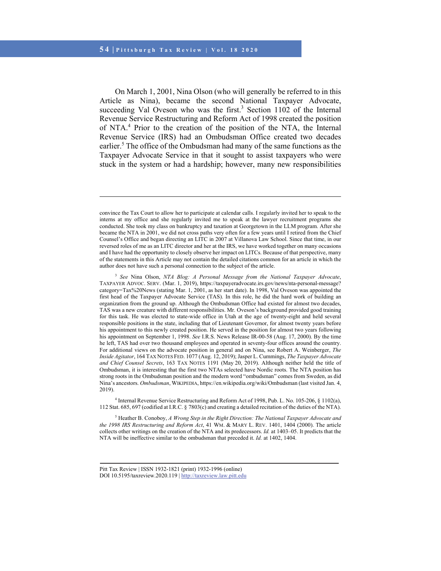$\overline{a}$ 

On March 1, 2001, Nina Olson (who will generally be referred to in this Article as Nina), became the second National Taxpayer Advocate, succeeding Val Oveson who was the first. $3$  Section 1102 of the Internal Revenue Service Restructuring and Reform Act of 1998 created the position of NTA.<sup>4</sup> Prior to the creation of the position of the NTA, the Internal Revenue Service (IRS) had an Ombudsman Office created two decades earlier.<sup>5</sup> The office of the Ombudsman had many of the same functions as the Taxpayer Advocate Service in that it sought to assist taxpayers who were stuck in the system or had a hardship; however, many new responsibilities

<sup>3</sup> *See* Nina Olson, *NTA Blog: A Personal Message from the National Taxpayer Advocate*, TAXPAYER ADVOC. SERV. (Mar. 1, 2019), https://taxpayeradvocate.irs.gov/news/nta-personal-message? category=Tax%20News (stating Mar. 1, 2001, as her start date). In 1998, Val Oveson was appointed the first head of the Taxpayer Advocate Service (TAS). In this role, he did the hard work of building an organization from the ground up. Although the Ombudsman Office had existed for almost two decades, TAS was a new creature with different responsibilities. Mr. Oveson's background provided good training for this task. He was elected to state-wide office in Utah at the age of twenty-eight and held several responsible positions in the state, including that of Lieutenant Governor, for almost twenty years before his appointment to this newly created position. He served in the position for almost two years following his appointment on September 1, 1998. *See* I.R.S. News Release IR-00-58 (Aug. 17, 2000). By the time he left, TAS had over two thousand employees and operated in seventy-four offices around the country. For additional views on the advocate position in general and on Nina, see Robert A. Weinberger, *The Inside Agitator*, 164 TAX NOTES FED. 1077 (Aug. 12, 2019); Jasper L. Cummings, *The Taxpayer Advocate and Chief Counsel Secrets*, 163 TAX NOTES 1191 (May 20, 2019). Although neither held the title of Ombudsman, it is interesting that the first two NTAs selected have Nordic roots. The NTA position has strong roots in the Ombudsman position and the modern word "ombudsman" comes from Sweden, as did Nina's ancestors. *Ombudsman*, WIKIPEDIA, https://en.wikipedia.org/wiki/Ombudsman (last visited Jan. 4, 2019).

4 Internal Revenue Service Restructuring and Reform Act of 1998, Pub. L. No. 105-206, § 1102(a), 112 Stat. 685, 697 (codified at I.R.C. § 7803(c) and creating a detailed recitation of the duties of the NTA).

5 Heather B. Conoboy, *A Wrong Step in the Right Direction: The National Taxpayer Advocate and the 1998 IRS Restructuring and Reform Act*, 41 WM. & MARY L. REV. 1401, 1404 (2000). The article collects other writings on the creation of the NTA and its predecessors. *Id.* at 1403–05. It predicts that the NTA will be ineffective similar to the ombudsman that preceded it. *Id.* at 1402, 1404.

convince the Tax Court to allow her to participate at calendar calls. I regularly invited her to speak to the interns at my office and she regularly invited me to speak at the lawyer recruitment programs she conducted. She took my class on bankruptcy and taxation at Georgetown in the LLM program. After she became the NTA in 2001, we did not cross paths very often for a few years until I retired from the Chief Counsel's Office and began directing an LITC in 2007 at Villanova Law School. Since that time, in our reversed roles of me as an LITC director and her at the IRS, we have worked together on many occasions and I have had the opportunity to closely observe her impact on LITCs. Because of that perspective, many of the statements in this Article may not contain the detailed citations common for an article in which the author does not have such a personal connection to the subject of the article.

Pitt Tax Review | ISSN 1932-1821 (print) 1932-1996 (online) DOI 10.5195/taxreview.2020.119 | http://taxreview.law.pitt.edu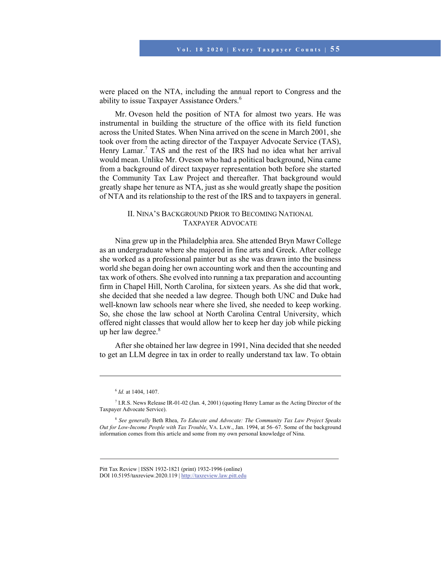were placed on the NTA, including the annual report to Congress and the ability to issue Taxpayer Assistance Orders.<sup>6</sup>

Mr. Oveson held the position of NTA for almost two years. He was instrumental in building the structure of the office with its field function across the United States. When Nina arrived on the scene in March 2001, she took over from the acting director of the Taxpayer Advocate Service (TAS), Henry Lamar.<sup>7</sup> TAS and the rest of the IRS had no idea what her arrival would mean. Unlike Mr. Oveson who had a political background, Nina came from a background of direct taxpayer representation both before she started the Community Tax Law Project and thereafter. That background would greatly shape her tenure as NTA, just as she would greatly shape the position of NTA and its relationship to the rest of the IRS and to taxpayers in general.

# II. NINA'S BACKGROUND PRIOR TO BECOMING NATIONAL TAXPAYER ADVOCATE

Nina grew up in the Philadelphia area. She attended Bryn Mawr College as an undergraduate where she majored in fine arts and Greek. After college she worked as a professional painter but as she was drawn into the business world she began doing her own accounting work and then the accounting and tax work of others. She evolved into running a tax preparation and accounting firm in Chapel Hill, North Carolina, for sixteen years. As she did that work, she decided that she needed a law degree. Though both UNC and Duke had well-known law schools near where she lived, she needed to keep working. So, she chose the law school at North Carolina Central University, which offered night classes that would allow her to keep her day job while picking up her law degree.<sup>8</sup>

After she obtained her law degree in 1991, Nina decided that she needed to get an LLM degree in tax in order to really understand tax law. To obtain

<sup>6</sup> *Id.* at 1404, 1407.

<sup>7</sup> I.R.S. News Release IR-01-02 (Jan. 4, 2001) (quoting Henry Lamar as the Acting Director of the Taxpayer Advocate Service).

<sup>8</sup> *See generally* Beth Rhea, *To Educate and Advocate: The Community Tax Law Project Speaks Out for Low-Income People with Tax Trouble*, VA. LAW., Jan. 1994, at 56–67. Some of the background information comes from this article and some from my own personal knowledge of Nina.

Pitt Tax Review | ISSN 1932-1821 (print) 1932-1996 (online) DOI 10.5195/taxreview.2020.119 | http://taxreview.law.pitt.edu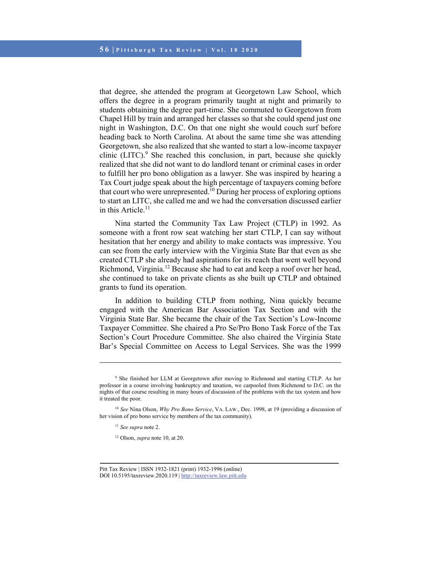that degree, she attended the program at Georgetown Law School, which offers the degree in a program primarily taught at night and primarily to students obtaining the degree part-time. She commuted to Georgetown from Chapel Hill by train and arranged her classes so that she could spend just one night in Washington, D.C. On that one night she would couch surf before heading back to North Carolina. At about the same time she was attending Georgetown, she also realized that she wanted to start a low-income taxpayer clinic (LITC). $9$  She reached this conclusion, in part, because she quickly realized that she did not want to do landlord tenant or criminal cases in order to fulfill her pro bono obligation as a lawyer. She was inspired by hearing a Tax Court judge speak about the high percentage of taxpayers coming before that court who were unrepresented.<sup>10</sup> During her process of exploring options to start an LITC, she called me and we had the conversation discussed earlier in this Article. $11$ 

Nina started the Community Tax Law Project (CTLP) in 1992. As someone with a front row seat watching her start CTLP, I can say without hesitation that her energy and ability to make contacts was impressive. You can see from the early interview with the Virginia State Bar that even as she created CTLP she already had aspirations for its reach that went well beyond Richmond, Virginia.<sup>12</sup> Because she had to eat and keep a roof over her head, she continued to take on private clients as she built up CTLP and obtained grants to fund its operation.

In addition to building CTLP from nothing, Nina quickly became engaged with the American Bar Association Tax Section and with the Virginia State Bar. She became the chair of the Tax Section's Low-Income Taxpayer Committee. She chaired a Pro Se/Pro Bono Task Force of the Tax Section's Court Procedure Committee. She also chaired the Virginia State Bar's Special Committee on Access to Legal Services. She was the 1999

<sup>9</sup> She finished her LLM at Georgetown after moving to Richmond and starting CTLP. As her professor in a course involving bankruptcy and taxation, we carpooled from Richmond to D.C. on the nights of that course resulting in many hours of discussion of the problems with the tax system and how it treated the poor.

<sup>10</sup> *See* Nina Olson, *Why Pro Bono Service*, VA. LAW., Dec. 1998, at 19 (providing a discussion of her vision of pro bono service by members of the tax community).

<sup>11</sup> *See supra* note 2.

<sup>12</sup> Olson, *supra* note 10, at 20.

Pitt Tax Review | ISSN 1932-1821 (print) 1932-1996 (online) DOI 10.5195/taxreview.2020.119 | http://taxreview.law.pitt.edu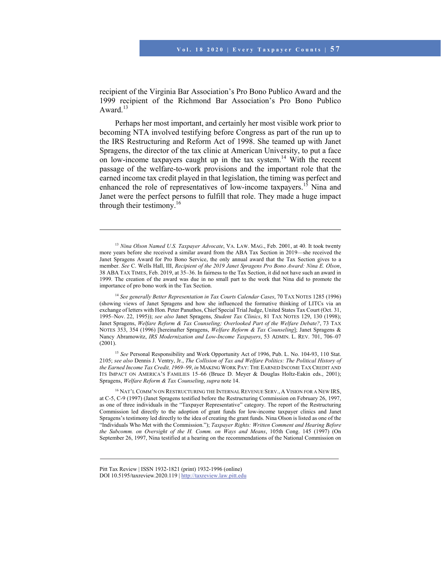recipient of the Virginia Bar Association's Pro Bono Publico Award and the 1999 recipient of the Richmond Bar Association's Pro Bono Publico Award.<sup>13</sup>

Perhaps her most important, and certainly her most visible work prior to becoming NTA involved testifying before Congress as part of the run up to the IRS Restructuring and Reform Act of 1998. She teamed up with Janet Spragens, the director of the tax clinic at American University, to put a face on low-income taxpayers caught up in the tax system.14 With the recent passage of the welfare-to-work provisions and the important role that the earned income tax credit played in that legislation, the timing was perfect and enhanced the role of representatives of low-income taxpayers.<sup>15</sup> Nina and Janet were the perfect persons to fulfill that role. They made a huge impact through their testimony.<sup>16</sup>

<sup>14</sup> *See generally Better Representation in Tax Courts Calendar Cases*, 70 TAX NOTES 1285 (1996) (showing views of Janet Spragens and how she influenced the formative thinking of LITCs via an exchange of letters with Hon. Peter Panuthos, Chief Special Trial Judge, United States Tax Court (Oct. 31, 1995–Nov. 22, 1995)); *see also* Janet Spragens, *Student Tax Clinics*, 81 TAX NOTES 129, 130 (1998); Janet Spragens, *Welfare Reform & Tax Counseling; Overlooked Part of the Welfare Debate?*, 73 TAX NOTES 353, 354 (1996) [hereinafter Spragens, *Welfare Reform & Tax Counseling*]; Janet Spragens & Nancy Abramowitz, *IRS Modernization and Low-Income Taxpayers*, 53 ADMIN. L. REV. 701, 706–07  $(2001)$ .

<sup>15</sup> See Personal Responsibility and Work Opportunity Act of 1996, Pub. L. No. 104-93, 110 Stat. 2105; *see also* Dennis J. Ventry, Jr., *The Collision of Tax and Welfare Politics: The Political History of the Earned Income Tax Credit, 1969–99*, *in* MAKING WORK PAY: THE EARNED INCOME TAX CREDIT AND ITS IMPACT ON AMERICA'S FAMILIES 15–66 (Bruce D. Meyer & Douglas Holtz-Eakin eds., 2001); Spragens, *Welfare Reform & Tax Counseling*, *supra* note 14.

16 NAT'L COMM'N ON RESTRUCTURING THE INTERNAL REVENUE SERV., A VISION FOR A NEW IRS, at C-5, C-9 (1997) (Janet Spragens testified before the Restructuring Commission on February 26, 1997, as one of three individuals in the "Taxpayer Representative" category. The report of the Restructuring Commission led directly to the adoption of grant funds for low-income taxpayer clinics and Janet Spragens's testimony led directly to the idea of creating the grant funds. Nina Olson is listed as one of the "Individuals Who Met with the Commission."); *Taxpayer Rights: Written Comment and Hearing Before the Subcomm. on Oversight of the H. Comm. on Ways and Means*, 105th Cong. 145 (1997) (On September 26, 1997, Nina testified at a hearing on the recommendations of the National Commission on

<sup>13</sup> *Nina Olson Named U.S. Taxpayer Advocate*, VA. LAW. MAG., Feb. 2001, at 40. It took twenty more years before she received a similar award from the ABA Tax Section in 2019—she received the Janet Spragens Award for Pro Bono Service, the only annual award that the Tax Section gives to a member. *See* C. Wells Hall, III, *Recipient of the 2019 Janet Spragens Pro Bono Award: Nina E. Olson*, 38 ABA TAX TIMES, Feb. 2019, at 35–36. In fairness to the Tax Section, it did not have such an award in 1999. The creation of the award was due in no small part to the work that Nina did to promote the importance of pro bono work in the Tax Section.

Pitt Tax Review | ISSN 1932-1821 (print) 1932-1996 (online) DOI 10.5195/taxreview.2020.119 | http://taxreview.law.pitt.edu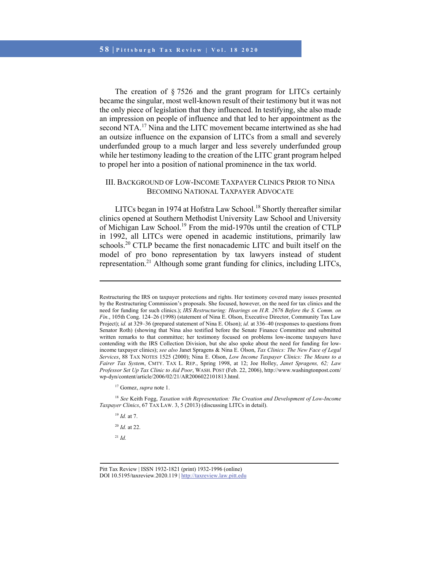The creation of § 7526 and the grant program for LITCs certainly became the singular, most well-known result of their testimony but it was not the only piece of legislation that they influenced. In testifying, she also made an impression on people of influence and that led to her appointment as the second NTA.<sup>17</sup> Nina and the LITC movement became intertwined as she had an outsize influence on the expansion of LITCs from a small and severely underfunded group to a much larger and less severely underfunded group while her testimony leading to the creation of the LITC grant program helped to propel her into a position of national prominence in the tax world.

## III. BACKGROUND OF LOW-INCOME TAXPAYER CLINICS PRIOR TO NINA BECOMING NATIONAL TAXPAYER ADVOCATE

LITCs began in 1974 at Hofstra Law School.<sup>18</sup> Shortly thereafter similar clinics opened at Southern Methodist University Law School and University of Michigan Law School.19 From the mid-1970s until the creation of CTLP in 1992, all LITCs were opened in academic institutions, primarily law schools.<sup>20</sup> CTLP became the first nonacademic LITC and built itself on the model of pro bono representation by tax lawyers instead of student representation.<sup>21</sup> Although some grant funding for clinics, including LITCs,

<sup>18</sup> *See* Keith Fogg, *Taxation with Representation: The Creation and Development of Low-Income Taxpayer Clinics*, 67 TAX LAW. 3, 5 (2013) (discussing LITCs in detail).

<sup>19</sup> *Id.* at 7.

l

<sup>20</sup> *Id.* at 22.

<sup>21</sup> *Id.*

Restructuring the IRS on taxpayer protections and rights. Her testimony covered many issues presented by the Restructuring Commission's proposals. She focused, however, on the need for tax clinics and the need for funding for such clinics.); *IRS Restructuring: Hearings on H.R. 2676 Before the S. Comm. on Fin.*, 105th Cong. 124–26 (1998) (statement of Nina E. Olson, Executive Director, Community Tax Law Project); *id.* at 329–36 (prepared statement of Nina E. Olson); *id.* at 336–40 (responses to questions from Senator Roth) (showing that Nina also testified before the Senate Finance Committee and submitted written remarks to that committee; her testimony focused on problems low-income taxpayers have contending with the IRS Collection Division, but she also spoke about the need for funding for lowincome taxpayer clinics); *see also* Janet Spragens & Nina E. Olson, *Tax Clinics: The New Face of Legal Services*, 88 TAX NOTES 1525 (2000); Nina E. Olson, *Low Income Taxpayer Clinics: The Means to a Fairer Tax System*, CMTY. TAX L. REP., Spring 1998, at 12; Joe Holley, *Janet Spragens, 62; Law Professor Set Up Tax Clinic to Aid Poor*, WASH. POST (Feb. 22, 2006), http://www.washingtonpost.com/ wp-dyn/content/article/2006/02/21/AR2006022101813.html.

<sup>17</sup> Gomez, *supra* note 1.

Pitt Tax Review | ISSN 1932-1821 (print) 1932-1996 (online) DOI 10.5195/taxreview.2020.119 | http://taxreview.law.pitt.edu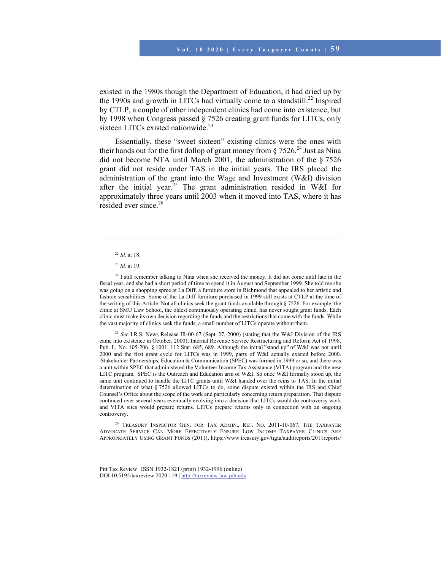existed in the 1980s though the Department of Education, it had dried up by the 1990s and growth in LITCs had virtually come to a standstill.<sup>22</sup> Inspired by CTLP, a couple of other independent clinics had come into existence, but by 1998 when Congress passed § 7526 creating grant funds for LITCs, only sixteen LITCs existed nationwide.<sup>23</sup>

Essentially, these "sweet sixteen" existing clinics were the ones with their hands out for the first dollop of grant money from  $\S 7526.^{24}$  Just as Nina did not become NTA until March 2001, the administration of the § 7526 grant did not reside under TAS in the initial years. The IRS placed the administration of the grant into the Wage and Investment (W&I) division after the initial year.<sup>25</sup> The grant administration resided in W&I for approximately three years until 2003 when it moved into TAS, where it has resided ever since.<sup>26</sup>

l

<sup>24</sup> I still remember talking to Nina when she received the money. It did not come until late in the fiscal year, and she had a short period of time to spend it in August and September 1999. She told me she was going on a shopping spree at La Diff, a furniture store in Richmond that appealed to her artistic and fashion sensibilities. Some of the La Diff furniture purchased in 1999 still exists at CTLP at the time of the writing of this Article. Not all clinics seek the grant funds available through § 7526. For example, the clinic at SMU Law School, the oldest continuously operating clinic, has never sought grant funds. Each clinic must make its own decision regarding the funds and the restrictions that come with the funds. While the vast majority of clinics seek the funds, a small number of LITCs operate without them.

<sup>25</sup> *See* I.R.S. News Release IR-00-67 (Sept. 27, 2000) (stating that the W&I Division of the IRS came into existence in October, 2000); Internal Revenue Service Restructuring and Reform Act of 1998, Pub. L. No. 105-206, § 1001, 112 Stat. 685, 689. Although the initial "stand up" of W&I was not until 2000 and the first grant cycle for LITCs was in 1999, parts of W&I actually existed before 2000.  Stakeholder Partnerships, Education & Communication (SPEC) was formed in 1999 or so, and there was a unit within SPEC that administered the Volunteer Income Tax Assistance (VITA) program and the new LITC program.  SPEC is the Outreach and Education arm of W&I. So once W&I formally stood up, the same unit continued to handle the LITC grants until W&I handed over the reins to TAS. In the initial determination of what § 7526 allowed LITCs to do, some dispute existed within the IRS and Chief Counsel's Office about the scope of the work and particularly concerning return preparation. That dispute continued over several years eventually evolving into a decision that LITCs would do controversy work and VITA sites would prepare returns. LITCs prepare returns only in connection with an ongoing controversy.

<sup>26</sup> TREASURY INSPECTOR GEN. FOR TAX ADMIN., REF. NO. 2011-10-067, THE TAXPAYER ADVOCATE SERVICE CAN MORE EFFECTIVELY ENSURE LOW INCOME TAXPAYER CLINICS ARE APPROPRIATELY USING GRANT FUNDS (2011), https://www.treasury.gov/tigta/auditreports/2011reports/

<sup>22</sup> *Id.* at 18.

<sup>23</sup> *Id.* at 19.

Pitt Tax Review | ISSN 1932-1821 (print) 1932-1996 (online) DOI 10.5195/taxreview.2020.119 | http://taxreview.law.pitt.edu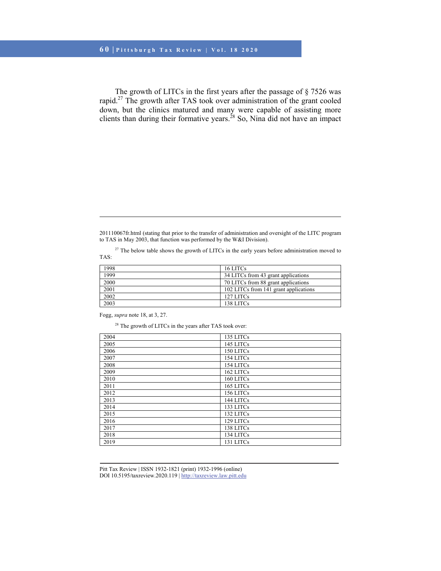The growth of LITCs in the first years after the passage of § 7526 was rapid.27 The growth after TAS took over administration of the grant cooled down, but the clinics matured and many were capable of assisting more clients than during their formative years.<sup>28</sup> So, Nina did not have an impact

<sup>27</sup> The below table shows the growth of LITCs in the early years before administration moved to TAS:

| 1998 | 16 LITCs                              |
|------|---------------------------------------|
| 1999 | 34 LITCs from 43 grant applications   |
| 2000 | 70 LITCs from 88 grant applications   |
| 2001 | 102 LITCs from 141 grant applications |
| 2002 | 127 LITCs                             |
| 2003 | 138 LITCs                             |

Fogg, *supra* note 18, at 3, 27.

l

<sup>28</sup> The growth of LITCs in the years after TAS took over:

| 2004 | 135 LITCs |
|------|-----------|
| 2005 | 145 LITCs |
| 2006 | 150 LITCs |
| 2007 | 154 LITCs |
| 2008 | 154 LITCs |
| 2009 | 162 LITCs |
| 2010 | 160 LITCs |
| 2011 | 165 LITCs |
| 2012 | 156 LITCs |
| 2013 | 144 LITCs |
| 2014 | 133 LITCs |
| 2015 | 132 LITCs |
| 2016 | 129 LITCs |
| 2017 | 138 LITCs |
| 2018 | 134 LITCs |
| 2019 | 131 LITCs |
|      |           |

<sup>201110067</sup>fr.html (stating that prior to the transfer of administration and oversight of the LITC program to TAS in May 2003, that function was performed by the W&I Division).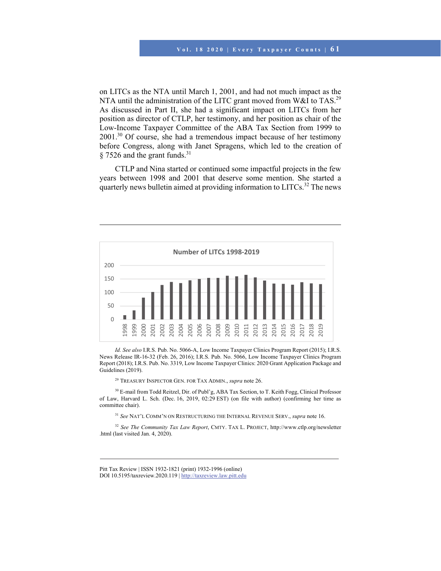on LITCs as the NTA until March 1, 2001, and had not much impact as the NTA until the administration of the LITC grant moved from W&I to TAS.<sup>29</sup> As discussed in Part II, she had a significant impact on LITCs from her position as director of CTLP, her testimony, and her position as chair of the Low-Income Taxpayer Committee of the ABA Tax Section from 1999 to 2001.30 Of course, she had a tremendous impact because of her testimony before Congress, along with Janet Spragens, which led to the creation of  $§$  7526 and the grant funds.<sup>31</sup>

CTLP and Nina started or continued some impactful projects in the few years between 1998 and 2001 that deserve some mention. She started a quarterly news bulletin aimed at providing information to LITCs.<sup>32</sup> The news



*Id. See also* I.R.S. Pub. No. 5066-A, Low Income Taxpayer Clinics Program Report (2015); I.R.S. News Release IR-16-32 (Feb. 26, 2016); I.R.S. Pub. No. 5066, Low Income Taxpayer Clinics Program Report (2018); I.R.S. Pub. No. 3319, Low Income Taxpayer Clinics: 2020 Grant Application Package and Guidelines (2019).

29 TREASURY INSPECTOR GEN. FOR TAX ADMIN., *supra* note 26.

l

<sup>30</sup> E-mail from Todd Reitzel, Dir. of Publ'g, ABA Tax Section, to T. Keith Fogg, Clinical Professor of Law, Harvard L. Sch. (Dec. 16, 2019, 02:29 EST) (on file with author) (confirming her time as committee chair).

<sup>31</sup> *See* NAT'L COMM'N ON RESTRUCTURING THE INTERNAL REVENUE SERV., *supra* note 16.

<sup>32</sup> *See The Community Tax Law Report*, CMTY. TAX L. PROJECT, http://www.ctlp.org/newsletter .html (last visited Jan. 4, 2020).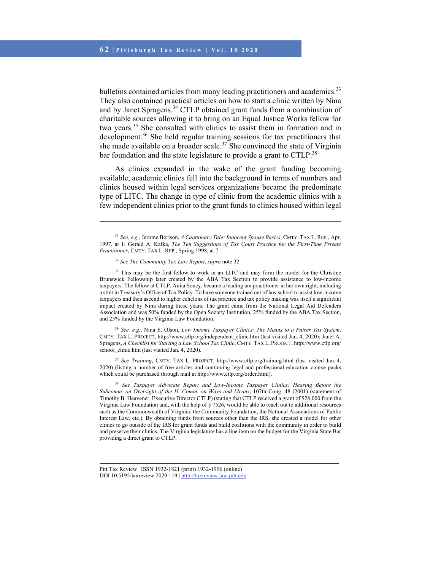bulletins contained articles from many leading practitioners and academics.<sup>33</sup> They also contained practical articles on how to start a clinic written by Nina and by Janet Spragens.<sup>34</sup> CTLP obtained grant funds from a combination of charitable sources allowing it to bring on an Equal Justice Works fellow for two years.35 She consulted with clinics to assist them in formation and in development.<sup>36</sup> She held regular training sessions for tax practitioners that she made available on a broader scale.<sup>37</sup> She convinced the state of Virginia bar foundation and the state legislature to provide a grant to CTLP.<sup>38</sup>

As clinics expanded in the wake of the grant funding becoming available, academic clinics fell into the background in terms of numbers and clinics housed within legal services organizations became the predominate type of LITC. The change in type of clinic from the academic clinics with a few independent clinics prior to the grant funds to clinics housed within legal

l

<sup>36</sup> *See, e.g.*, Nina E. Olson, *Low Income Taxpayer Clinics: The Means to a Fairer Tax System*, CMTY. TAX L. PROJECT, http://www.ctlp.org/independent\_clinic.htm (last visited Jan. 4, 2020); Janet A. Spragens, *A Checklist for Starting a Law School Tax Clinic*, CMTY. TAX L. PROJECT, http://www.ctlp.org/ school clinic.htm (last visited Jan. 4, 2020).

<sup>37</sup> *See Training*, CMTY. TAX L. PROJECT, http://www.ctlp.org/training.html (last visited Jan. 4, 2020) (listing a number of free articles and continuing legal and professional education course packs which could be purchased through mail at http://www.ctlp.org/order.html).

<sup>38</sup> *See Taxpayer Advocate Report and Low-Income Taxpayer Clinics: Hearing Before the Subcomm. on Oversight of the H. Comm. on Ways and Means*, 107th Cong. 48 (2001) (statement of Timothy B. Heavener, Executive Director CTLP) (stating that CTLP received a grant of \$28,000 from the Virginia Law Foundation and, with the help of § 7526, would be able to reach out to additional resources such as the Commonwealth of Virginia, the Community Foundation, the National Associations of Public Interest Law, etc.). By obtaining funds from sources other than the IRS, she created a model for other clinics to go outside of the IRS for grant funds and build coalitions with the community in order to build and preserve their clinics. The Virginia legislature has a line item on the budget for the Virginia State Bar providing a direct grant to CTLP.

<sup>33</sup> *See, e.g.*, Jerome Borison, *A Cautionary Tale: Innocent Spouse Basics*, CMTY. TAX L. REP., Apr. 1997, at 1; Gerald A. Kafka, *The Ten Suggestions of Tax Court Practice for the First-Time Private Practitioner*, CMTY. TAX L. REP., Spring 1998, at 7.

<sup>34</sup> *See The Community Tax Law Report*, *supra* note 32.

<sup>&</sup>lt;sup>35</sup> This may be the first fellow to work in an LITC and may form the model for the Christine Brunswick Fellowship later created by the ABA Tax Section to provide assistance to low-income taxpayers. The fellow at CTLP, Anita Soucy, became a leading tax practitioner in her own right, including a stint in Treasury's Office of Tax Policy. To have someone trained out of law school to assist low-income taxpayers and then ascend to higher echelons of tax practice and tax policy making was itself a significant impact created by Nina during these years. The grant came from the National Legal Aid Defenders Association and was 50% funded by the Open Society Institution, 25% funded by the ABA Tax Section, and 25% funded by the Virginia Law Foundation.

Pitt Tax Review | ISSN 1932-1821 (print) 1932-1996 (online) DOI 10.5195/taxreview.2020.119 | http://taxreview.law.pitt.edu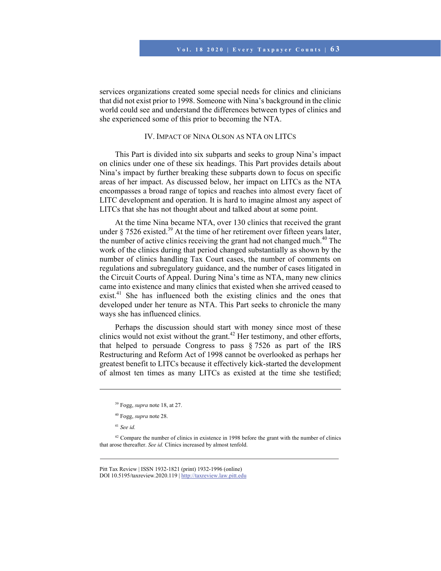services organizations created some special needs for clinics and clinicians that did not exist prior to 1998. Someone with Nina's background in the clinic world could see and understand the differences between types of clinics and she experienced some of this prior to becoming the NTA.

## IV. IMPACT OF NINA OLSON AS NTA ON LITCS

This Part is divided into six subparts and seeks to group Nina's impact on clinics under one of these six headings. This Part provides details about Nina's impact by further breaking these subparts down to focus on specific areas of her impact. As discussed below, her impact on LITCs as the NTA encompasses a broad range of topics and reaches into almost every facet of LITC development and operation. It is hard to imagine almost any aspect of LITCs that she has not thought about and talked about at some point.

At the time Nina became NTA, over 130 clinics that received the grant under  $\S 7526$  existed.<sup>39</sup> At the time of her retirement over fifteen years later, the number of active clinics receiving the grant had not changed much.<sup>40</sup> The work of the clinics during that period changed substantially as shown by the number of clinics handling Tax Court cases, the number of comments on regulations and subregulatory guidance, and the number of cases litigated in the Circuit Courts of Appeal. During Nina's time as NTA, many new clinics came into existence and many clinics that existed when she arrived ceased to exist.<sup>41</sup> She has influenced both the existing clinics and the ones that developed under her tenure as NTA. This Part seeks to chronicle the many ways she has influenced clinics.

Perhaps the discussion should start with money since most of these clinics would not exist without the grant.<sup>42</sup> Her testimony, and other efforts, that helped to persuade Congress to pass § 7526 as part of the IRS Restructuring and Reform Act of 1998 cannot be overlooked as perhaps her greatest benefit to LITCs because it effectively kick-started the development of almost ten times as many LITCs as existed at the time she testified;

l

 $42$  Compare the number of clinics in existence in 1998 before the grant with the number of clinics that arose thereafter. *See id.* Clinics increased by almost tenfold.

<sup>39</sup> Fogg, *supra* note 18, at 27.

<sup>40</sup> Fogg, *supra* note 28.

<sup>41</sup> *See id.*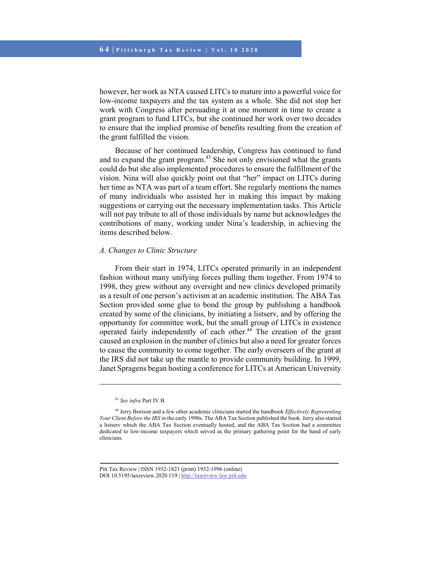however, her work as NTA caused LITCs to mature into a powerful voice for low-income taxpayers and the tax system as a whole. She did not stop her work with Congress after persuading it at one moment in time to create a grant program to fund LITCs, but she continued her work over two decades to ensure that the implied promise of benefits resulting from the creation of the grant fulfilled the vision.

Because of her continued leadership, Congress has continued to fund and to expand the grant program. $43$  She not only envisioned what the grants could do but she also implemented procedures to ensure the fulfillment of the vision. Nina will also quickly point out that "her" impact on LITCs during her time as NTA was part of a team effort. She regularly mentions the names of many individuals who assisted her in making this impact by making suggestions or carrying out the necessary implementation tasks. This Article will not pay tribute to all of those individuals by name but acknowledges the contributions of many, working under Nina's leadership, in achieving the items described below.

#### *A. Changes to Clinic Structure*

From their start in 1974, LITCs operated primarily in an independent fashion without many unifying forces pulling them together. From 1974 to 1998, they grew without any oversight and new clinics developed primarily as a result of one person's activism at an academic institution. The ABA Tax Section provided some glue to bond the group by publishing a handbook created by some of the clinicians, by initiating a listserv, and by offering the opportunity for committee work, but the small group of LITCs in existence operated fairly independently of each other.44 The creation of the grant caused an explosion in the number of clinics but also a need for greater forces to cause the community to come together. The early overseers of the grant at the IRS did not take up the mantle to provide community building. In 1999, Janet Spragens began hosting a conference for LITCs at American University

<sup>43</sup> *See infra* Part IV.B.

<sup>44</sup> Jerry Borison and a few other academic clinicians started the handbook *Effectively Representing Your Client Before the IRS* in the early 1990s. The ABA Tax Section published the book. Jerry also started a listserv which the ABA Tax Section eventually hosted, and the ABA Tax Section had a committee dedicated to low-income taxpayers which served as the primary gathering point for the band of early clinicians.

Pitt Tax Review | ISSN 1932-1821 (print) 1932-1996 (online) DOI 10.5195/taxreview.2020.119 | http://taxreview.law.pitt.edu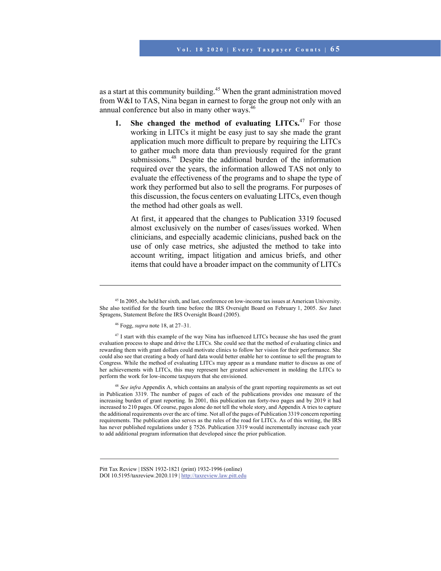as a start at this community building.<sup>45</sup> When the grant administration moved from W&I to TAS, Nina began in earnest to forge the group not only with an annual conference but also in many other ways.<sup>46</sup>

**1. She changed the method of evaluating LITCs.**47 For those working in LITCs it might be easy just to say she made the grant application much more difficult to prepare by requiring the LITCs to gather much more data than previously required for the grant submissions.<sup>48</sup> Despite the additional burden of the information required over the years, the information allowed TAS not only to evaluate the effectiveness of the programs and to shape the type of work they performed but also to sell the programs. For purposes of this discussion, the focus centers on evaluating LITCs, even though the method had other goals as well.

At first, it appeared that the changes to Publication 3319 focused almost exclusively on the number of cases/issues worked. When clinicians, and especially academic clinicians, pushed back on the use of only case metrics, she adjusted the method to take into account writing, impact litigation and amicus briefs, and other items that could have a broader impact on the community of LITCs

l

<sup>48</sup> *See infra* Appendix A, which contains an analysis of the grant reporting requirements as set out in Publication 3319. The number of pages of each of the publications provides one measure of the increasing burden of grant reporting. In 2001, this publication ran forty-two pages and by 2019 it had increased to 210 pages. Of course, pages alone do not tell the whole story, and Appendix A tries to capture the additional requirements over the arc of time. Not all of the pages of Publication 3319 concern reporting requirements. The publication also serves as the rules of the road for LITCs. As of this writing, the IRS has never published regulations under § 7526. Publication 3319 would incrementally increase each year to add additional program information that developed since the prior publication.

<sup>&</sup>lt;sup>45</sup> In 2005, she held her sixth, and last, conference on low-income tax issues at American University. She also testified for the fourth time before the IRS Oversight Board on February 1, 2005. *See* Janet Spragens, Statement Before the IRS Oversight Board (2005).

<sup>46</sup> Fogg, *supra* note 18, at 27–31.

<sup>&</sup>lt;sup>47</sup> I start with this example of the way Nina has influenced LITCs because she has used the grant evaluation process to shape and drive the LITCs. She could see that the method of evaluating clinics and rewarding them with grant dollars could motivate clinics to follow her vision for their performance. She could also see that creating a body of hard data would better enable her to continue to sell the program to Congress. While the method of evaluating LITCs may appear as a mundane matter to discuss as one of her achievements with LITCs, this may represent her greatest achievement in molding the LITCs to perform the work for low-income taxpayers that she envisioned.

Pitt Tax Review | ISSN 1932-1821 (print) 1932-1996 (online) DOI 10.5195/taxreview.2020.119 | http://taxreview.law.pitt.edu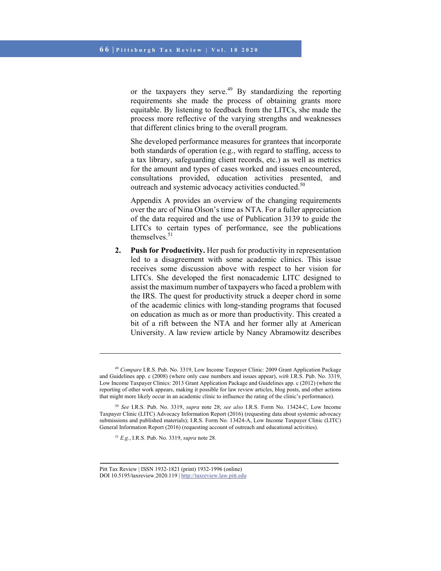or the taxpayers they serve.49 By standardizing the reporting requirements she made the process of obtaining grants more equitable. By listening to feedback from the LITCs, she made the process more reflective of the varying strengths and weaknesses that different clinics bring to the overall program.

She developed performance measures for grantees that incorporate both standards of operation (e.g., with regard to staffing, access to a tax library, safeguarding client records, etc.) as well as metrics for the amount and types of cases worked and issues encountered, consultations provided, education activities presented, and outreach and systemic advocacy activities conducted.<sup>50</sup>

Appendix A provides an overview of the changing requirements over the arc of Nina Olson's time as NTA. For a fuller appreciation of the data required and the use of Publication 3139 to guide the LITCs to certain types of performance, see the publications themselves. $51$ 

**2. Push for Productivity.** Her push for productivity in representation led to a disagreement with some academic clinics. This issue receives some discussion above with respect to her vision for LITCs. She developed the first nonacademic LITC designed to assist the maximum number of taxpayers who faced a problem with the IRS. The quest for productivity struck a deeper chord in some of the academic clinics with long-standing programs that focused on education as much as or more than productivity. This created a bit of a rift between the NTA and her former ally at American University. A law review article by Nancy Abramowitz describes

<sup>51</sup> *E.g.*, I.R.S. Pub. No. 3319, *supra* note 28.

<sup>49</sup> *Compare* I.R.S. Pub. No. 3319, Low Income Taxpayer Clinic: 2009 Grant Application Package and Guidelines app. c (2008) (where only case numbers and issues appear), *with* I.R.S. Pub. No. 3319, Low Income Taxpayer Clinics: 2013 Grant Application Package and Guidelines app. c (2012) (where the reporting of other work appears, making it possible for law review articles, blog posts, and other actions that might more likely occur in an academic clinic to influence the rating of the clinic's performance).

<sup>50</sup> *See* I.R.S. Pub. No. 3319, *supra* note 28; *see also* I.R.S. Form No. 13424-C, Low Income Taxpayer Clinic (LITC) Advocacy Information Report (2016) (requesting data about systemic advocacy submissions and published materials); I.R.S. Form No. 13424-A, Low Income Taxpayer Clinic (LITC) General Information Report (2016) (requesting account of outreach and educational activities).

Pitt Tax Review | ISSN 1932-1821 (print) 1932-1996 (online) DOI 10.5195/taxreview.2020.119 | http://taxreview.law.pitt.edu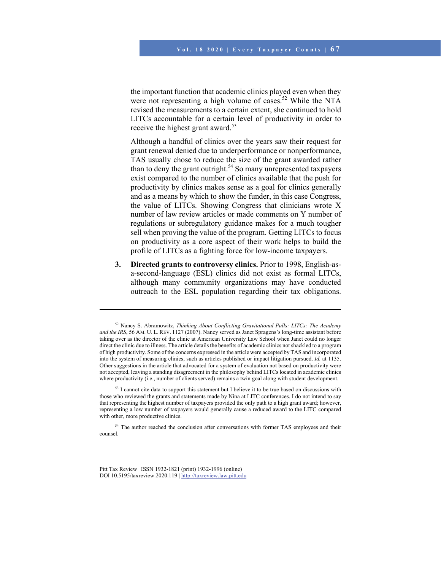the important function that academic clinics played even when they were not representing a high volume of cases.<sup>52</sup> While the NTA revised the measurements to a certain extent, she continued to hold LITCs accountable for a certain level of productivity in order to receive the highest grant award.<sup>53</sup>

Although a handful of clinics over the years saw their request for grant renewal denied due to underperformance or nonperformance, TAS usually chose to reduce the size of the grant awarded rather than to deny the grant outright.<sup>54</sup> So many unrepresented taxpayers exist compared to the number of clinics available that the push for productivity by clinics makes sense as a goal for clinics generally and as a means by which to show the funder, in this case Congress, the value of LITCs. Showing Congress that clinicians wrote X number of law review articles or made comments on Y number of regulations or subregulatory guidance makes for a much tougher sell when proving the value of the program. Getting LITCs to focus on productivity as a core aspect of their work helps to build the profile of LITCs as a fighting force for low-income taxpayers.

**3. Directed grants to controversy clinics.** Prior to 1998, English-asa-second-language (ESL) clinics did not exist as formal LITCs, although many community organizations may have conducted outreach to the ESL population regarding their tax obligations.

<sup>54</sup> The author reached the conclusion after conversations with former TAS employees and their counsel.

<sup>52</sup> Nancy S. Abramowitz, *Thinking About Conflicting Gravitational Pulls; LITCs: The Academy and the IRS*, 56 AM. U. L. REV. 1127 (2007). Nancy served as Janet Spragens's long-time assistant before taking over as the director of the clinic at American University Law School when Janet could no longer direct the clinic due to illness. The article details the benefits of academic clinics not shackled to a program of high productivity. Some of the concerns expressed in the article were accepted by TAS and incorporated into the system of measuring clinics, such as articles published or impact litigation pursued. *Id.* at 1135. Other suggestions in the article that advocated for a system of evaluation not based on productivity were not accepted, leaving a standing disagreement in the philosophy behind LITCs located in academic clinics where productivity (i.e., number of clients served) remains a twin goal along with student development.

<sup>&</sup>lt;sup>53</sup> I cannot cite data to support this statement but I believe it to be true based on discussions with those who reviewed the grants and statements made by Nina at LITC conferences. I do not intend to say that representing the highest number of taxpayers provided the only path to a high grant award; however, representing a low number of taxpayers would generally cause a reduced award to the LITC compared with other, more productive clinics.

Pitt Tax Review | ISSN 1932-1821 (print) 1932-1996 (online) DOI 10.5195/taxreview.2020.119 | http://taxreview.law.pitt.edu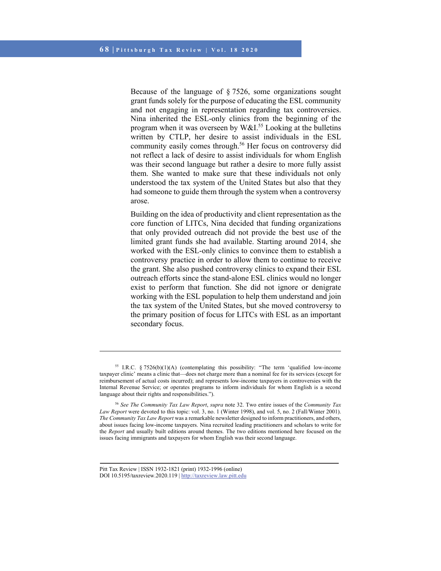Because of the language of § 7526, some organizations sought grant funds solely for the purpose of educating the ESL community and not engaging in representation regarding tax controversies. Nina inherited the ESL-only clinics from the beginning of the program when it was overseen by  $W\&I.<sup>55</sup>$  Looking at the bulletins written by CTLP, her desire to assist individuals in the ESL community easily comes through.<sup>56</sup> Her focus on controversy did not reflect a lack of desire to assist individuals for whom English was their second language but rather a desire to more fully assist them. She wanted to make sure that these individuals not only understood the tax system of the United States but also that they had someone to guide them through the system when a controversy arose.

Building on the idea of productivity and client representation as the core function of LITCs, Nina decided that funding organizations that only provided outreach did not provide the best use of the limited grant funds she had available. Starting around 2014, she worked with the ESL-only clinics to convince them to establish a controversy practice in order to allow them to continue to receive the grant. She also pushed controversy clinics to expand their ESL outreach efforts since the stand-alone ESL clinics would no longer exist to perform that function. She did not ignore or denigrate working with the ESL population to help them understand and join the tax system of the United States, but she moved controversy to the primary position of focus for LITCs with ESL as an important secondary focus.

<sup>&</sup>lt;sup>55</sup> I.R.C. § 7526(b)(1)(A) (contemplating this possibility: "The term 'qualified low-income taxpayer clinic' means a clinic that—does not charge more than a nominal fee for its services (except for reimbursement of actual costs incurred); and represents low-income taxpayers in controversies with the Internal Revenue Service; or operates programs to inform individuals for whom English is a second language about their rights and responsibilities.").

<sup>56</sup> *See The Community Tax Law Report*, *supra* note 32. Two entire issues of the *Community Tax Law Report* were devoted to this topic: vol. 3, no. 1 (Winter 1998), and vol. 5, no. 2 (Fall/Winter 2001). *The Community Tax Law Report* was a remarkable newsletter designed to inform practitioners, and others, about issues facing low-income taxpayers. Nina recruited leading practitioners and scholars to write for the *Report* and usually built editions around themes. The two editions mentioned here focused on the issues facing immigrants and taxpayers for whom English was their second language.

Pitt Tax Review | ISSN 1932-1821 (print) 1932-1996 (online) DOI 10.5195/taxreview.2020.119 | http://taxreview.law.pitt.edu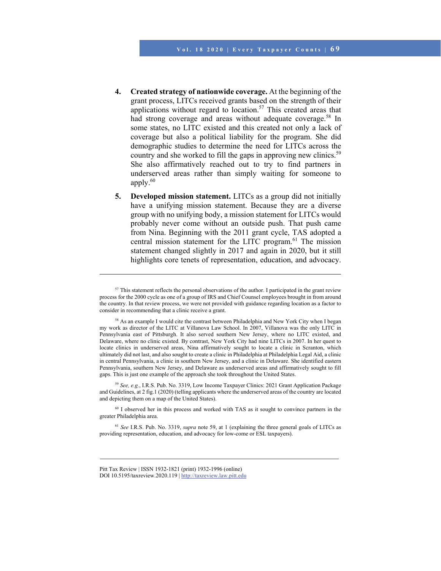- **4. Created strategy of nationwide coverage.** At the beginning of the grant process, LITCs received grants based on the strength of their applications without regard to location.<sup>57</sup> This created areas that had strong coverage and areas without adequate coverage.<sup>58</sup> In some states, no LITC existed and this created not only a lack of coverage but also a political liability for the program. She did demographic studies to determine the need for LITCs across the country and she worked to fill the gaps in approving new clinics.<sup>59</sup> She also affirmatively reached out to try to find partners in underserved areas rather than simply waiting for someone to apply. $60$
- **5. Developed mission statement.** LITCs as a group did not initially have a unifying mission statement. Because they are a diverse group with no unifying body, a mission statement for LITCs would probably never come without an outside push. That push came from Nina. Beginning with the 2011 grant cycle, TAS adopted a central mission statement for the LITC program.<sup>61</sup> The mission statement changed slightly in 2017 and again in 2020, but it still highlights core tenets of representation, education, and advocacy.

<sup>59</sup> *See, e.g.*, I.R.S. Pub. No. 3319, Low Income Taxpayer Clinics: 2021 Grant Application Package and Guidelines, at 2 fig.1 (2020) (telling applicants where the underserved areas of the country are located and depicting them on a map of the United States).

 $60$  I observed her in this process and worked with TAS as it sought to convince partners in the greater Philadelphia area.

<sup>61</sup> *See* I.R.S. Pub. No. 3319, *supra* note 59, at 1 (explaining the three general goals of LITCs as providing representation, education, and advocacy for low-come or ESL taxpayers).

<sup>&</sup>lt;sup>57</sup> This statement reflects the personal observations of the author. I participated in the grant review process for the 2000 cycle as one of a group of IRS and Chief Counsel employees brought in from around the country. In that review process, we were not provided with guidance regarding location as a factor to consider in recommending that a clinic receive a grant.

<sup>&</sup>lt;sup>58</sup> As an example I would cite the contrast between Philadelphia and New York City when I began my work as director of the LITC at Villanova Law School. In 2007, Villanova was the only LITC in Pennsylvania east of Pittsburgh. It also served southern New Jersey, where no LITC existed, and Delaware, where no clinic existed. By contrast, New York City had nine LITCs in 2007. In her quest to locate clinics in underserved areas, Nina affirmatively sought to locate a clinic in Scranton, which ultimately did not last, and also sought to create a clinic in Philadelphia at Philadelphia Legal Aid, a clinic in central Pennsylvania, a clinic in southern New Jersey, and a clinic in Delaware. She identified eastern Pennsylvania, southern New Jersey, and Delaware as underserved areas and affirmatively sought to fill gaps. This is just one example of the approach she took throughout the United States.

Pitt Tax Review | ISSN 1932-1821 (print) 1932-1996 (online) DOI 10.5195/taxreview.2020.119 | http://taxreview.law.pitt.edu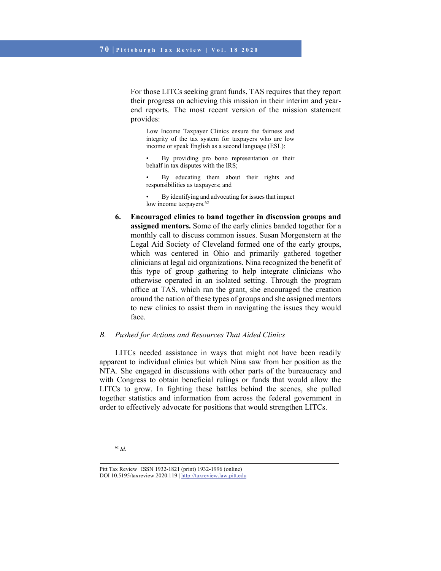For those LITCs seeking grant funds, TAS requires that they report their progress on achieving this mission in their interim and yearend reports. The most recent version of the mission statement provides:

Low Income Taxpayer Clinics ensure the fairness and integrity of the tax system for taxpayers who are low income or speak English as a second language (ESL):

By providing pro bono representation on their behalf in tax disputes with the IRS;

• By educating them about their rights and responsibilities as taxpayers; and

• By identifying and advocating for issues that impact low income taxpayers.<sup>62</sup>

**6. Encouraged clinics to band together in discussion groups and assigned mentors.** Some of the early clinics banded together for a monthly call to discuss common issues. Susan Morgenstern at the Legal Aid Society of Cleveland formed one of the early groups, which was centered in Ohio and primarily gathered together clinicians at legal aid organizations. Nina recognized the benefit of this type of group gathering to help integrate clinicians who otherwise operated in an isolated setting. Through the program office at TAS, which ran the grant, she encouraged the creation around the nation of these types of groups and she assigned mentors to new clinics to assist them in navigating the issues they would face.

### *B. Pushed for Actions and Resources That Aided Clinics*

LITCs needed assistance in ways that might not have been readily apparent to individual clinics but which Nina saw from her position as the NTA. She engaged in discussions with other parts of the bureaucracy and with Congress to obtain beneficial rulings or funds that would allow the LITCs to grow. In fighting these battles behind the scenes, she pulled together statistics and information from across the federal government in order to effectively advocate for positions that would strengthen LITCs.

#### <sup>62</sup> *Id.*

Pitt Tax Review | ISSN 1932-1821 (print) 1932-1996 (online) DOI 10.5195/taxreview.2020.119 | http://taxreview.law.pitt.edu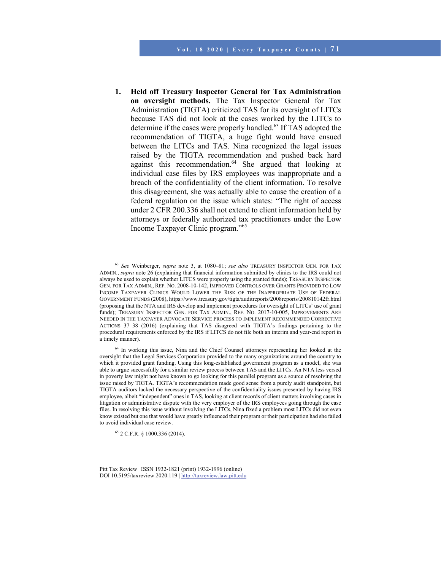**1. Held off Treasury Inspector General for Tax Administration on oversight methods.** The Tax Inspector General for Tax Administration (TIGTA) criticized TAS for its oversight of LITCs because TAS did not look at the cases worked by the LITCs to determine if the cases were properly handled.<sup>63</sup> If TAS adopted the recommendation of TIGTA, a huge fight would have ensued between the LITCs and TAS. Nina recognized the legal issues raised by the TIGTA recommendation and pushed back hard against this recommendation.<sup>64</sup> She argued that looking at individual case files by IRS employees was inappropriate and a breach of the confidentiality of the client information. To resolve this disagreement, she was actually able to cause the creation of a federal regulation on the issue which states: "The right of access under 2 CFR 200.336 shall not extend to client information held by attorneys or federally authorized tax practitioners under the Low Income Taxpayer Clinic program."65

65 2 C.F.R. § 1000.336 (2014).

<sup>63</sup> *See* Weinberger, *supra* note 3, at 1080–81; *see also* TREASURY INSPECTOR GEN. FOR TAX ADMIN., *supra* note 26 (explaining that financial information submitted by clinics to the IRS could not always be used to explain whether LITCS were properly using the granted funds); TREASURY INSPECTOR GEN. FOR TAX ADMIN., REF. NO. 2008-10-142, IMPROVED CONTROLS OVER GRANTS PROVIDED TO LOW INCOME TAXPAYER CLINICS WOULD LOWER THE RISK OF THE INAPPROPRIATE USE OF FEDERAL GOVERNMENT FUNDS (2008), https://www.treasury.gov/tigta/auditreports/2008reports/200810142fr.html (proposing that the NTA and IRS develop and implement procedures for oversight of LITCs' use of grant funds); TREASURY INSPECTOR GEN. FOR TAX ADMIN., REF. NO. 2017-10-005, IMPROVEMENTS ARE NEEDED IN THE TAXPAYER ADVOCATE SERVICE PROCESS TO IMPLEMENT RECOMMENDED CORRECTIVE ACTIONS 37–38 (2016) (explaining that TAS disagreed with TIGTA's findings pertaining to the procedural requirements enforced by the IRS if LITCS do not file both an interim and year-end report in a timely manner).

<sup>64</sup> In working this issue, Nina and the Chief Counsel attorneys representing her looked at the oversight that the Legal Services Corporation provided to the many organizations around the country to which it provided grant funding. Using this long-established government program as a model, she was able to argue successfully for a similar review process between TAS and the LITCs. An NTA less versed in poverty law might not have known to go looking for this parallel program as a source of resolving the issue raised by TIGTA. TIGTA's recommendation made good sense from a purely audit standpoint, but TIGTA auditors lacked the necessary perspective of the confidentiality issues presented by having IRS employee, albeit "independent" ones in TAS, looking at client records of client matters involving cases in litigation or administrative dispute with the very employer of the IRS employees going through the case files. In resolving this issue without involving the LITCs, Nina fixed a problem most LITCs did not even know existed but one that would have greatly influenced their program or their participation had she failed to avoid individual case review.

Pitt Tax Review | ISSN 1932-1821 (print) 1932-1996 (online) DOI 10.5195/taxreview.2020.119 | http://taxreview.law.pitt.edu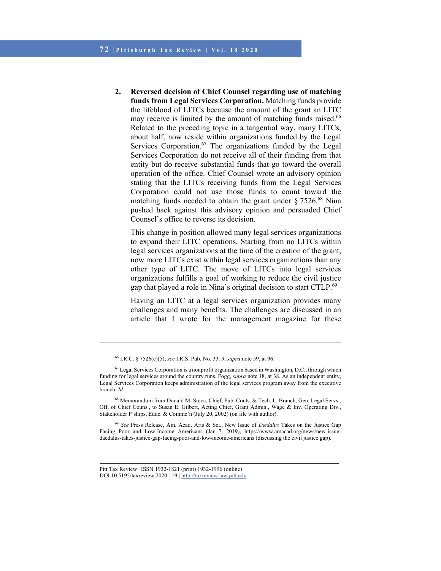**2. Reversed decision of Chief Counsel regarding use of matching funds from Legal Services Corporation.** Matching funds provide the lifeblood of LITCs because the amount of the grant an LITC may receive is limited by the amount of matching funds raised. $66$ Related to the preceding topic in a tangential way, many LITCs, about half, now reside within organizations funded by the Legal Services Corporation.<sup>67</sup> The organizations funded by the Legal Services Corporation do not receive all of their funding from that entity but do receive substantial funds that go toward the overall operation of the office. Chief Counsel wrote an advisory opinion stating that the LITCs receiving funds from the Legal Services Corporation could not use those funds to count toward the matching funds needed to obtain the grant under  $\S 7526$ .<sup>68</sup> Nina pushed back against this advisory opinion and persuaded Chief Counsel's office to reverse its decision.

This change in position allowed many legal services organizations to expand their LITC operations. Starting from no LITCs within legal services organizations at the time of the creation of the grant, now more LITCs exist within legal services organizations than any other type of LITC. The move of LITCs into legal services organizations fulfills a goal of working to reduce the civil justice gap that played a role in Nina's original decision to start CTLP.<sup>69</sup>

Having an LITC at a legal services organization provides many challenges and many benefits. The challenges are discussed in an article that I wrote for the management magazine for these

<sup>69</sup> *See* Press Release, Am. Acad. Arts & Sci., New Issue of *Dædalus* Takes on the Justice Gap Facing Poor and Low-Income Americans (Jan. 7, 2019), https://www.amacad.org/news/new-issuedaedalus-takes-justice-gap-facing-poor-and-low-income-americans (discussing the civil justice gap).

<sup>66</sup> I.R.C. § 7526(c)(5); *see* I.R.S. Pub. No. 3319, *supra* note 59, at 96.

 $67$  Legal Services Corporation is a nonprofit organization based in Washington, D.C., through which funding for legal services around the country runs. Fogg, *supra* note 18, at 38. As an independent entity, Legal Services Corporation keeps administration of the legal services program away from the executive branch. *Id.*

<sup>&</sup>lt;sup>68</sup> Memorandum from Donald M. Suica, Chief, Pub. Conts. & Tech. L. Branch, Gen. Legal Servs., Off. of Chief Couns., to Susan E. Gilbert, Acting Chief, Grant Admin., Wage & Inv. Operating Div., Stakeholder P'ships, Educ. & Commc'n (July 20, 2002) (on file with author).

Pitt Tax Review | ISSN 1932-1821 (print) 1932-1996 (online) DOI 10.5195/taxreview.2020.119 | http://taxreview.law.pitt.edu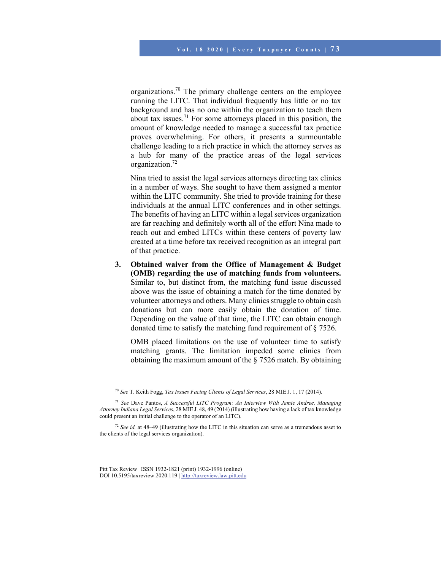organizations.<sup>70</sup> The primary challenge centers on the employee running the LITC. That individual frequently has little or no tax background and has no one within the organization to teach them about tax issues.<sup>71</sup> For some attorneys placed in this position, the amount of knowledge needed to manage a successful tax practice proves overwhelming. For others, it presents a surmountable challenge leading to a rich practice in which the attorney serves as a hub for many of the practice areas of the legal services organization.<sup>72</sup>

Nina tried to assist the legal services attorneys directing tax clinics in a number of ways. She sought to have them assigned a mentor within the LITC community. She tried to provide training for these individuals at the annual LITC conferences and in other settings. The benefits of having an LITC within a legal services organization are far reaching and definitely worth all of the effort Nina made to reach out and embed LITCs within these centers of poverty law created at a time before tax received recognition as an integral part of that practice.

**3. Obtained waiver from the Office of Management & Budget (OMB) regarding the use of matching funds from volunteers.** Similar to, but distinct from, the matching fund issue discussed above was the issue of obtaining a match for the time donated by volunteer attorneys and others. Many clinics struggle to obtain cash donations but can more easily obtain the donation of time. Depending on the value of that time, the LITC can obtain enough donated time to satisfy the matching fund requirement of § 7526.

OMB placed limitations on the use of volunteer time to satisfy matching grants. The limitation impeded some clinics from obtaining the maximum amount of the § 7526 match. By obtaining

<sup>70</sup> *See* T. Keith Fogg, *Tax Issues Facing Clients of Legal Services*, 28 MIE J. 1, 17 (2014).

<sup>71</sup> *See* Dave Pantos, *A Successful LITC Program: An Interview With Jamie Andree, Managing Attorney Indiana Legal Services*, 28 MIE J. 48, 49 (2014) (illustrating how having a lack of tax knowledge could present an initial challenge to the operator of an LITC).

<sup>72</sup> *See id.* at 48–49 (illustrating how the LITC in this situation can serve as a tremendous asset to the clients of the legal services organization).

Pitt Tax Review | ISSN 1932-1821 (print) 1932-1996 (online) DOI 10.5195/taxreview.2020.119 | http://taxreview.law.pitt.edu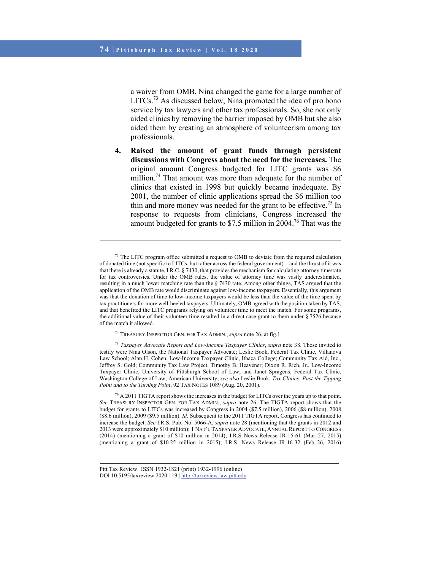l

a waiver from OMB, Nina changed the game for a large number of LITCs.73 As discussed below, Nina promoted the idea of pro bono service by tax lawyers and other tax professionals. So, she not only aided clinics by removing the barrier imposed by OMB but she also aided them by creating an atmosphere of volunteerism among tax professionals.

**4. Raised the amount of grant funds through persistent discussions with Congress about the need for the increases.** The original amount Congress budgeted for LITC grants was \$6 million.<sup>74</sup> That amount was more than adequate for the number of clinics that existed in 1998 but quickly became inadequate. By 2001, the number of clinic applications spread the \$6 million too thin and more money was needed for the grant to be effective.<sup>75</sup> In response to requests from clinicians, Congress increased the amount budgeted for grants to \$7.5 million in 2004.76 That was the

<sup>75</sup> *Taxpayer Advocate Report and Low-Income Taxpayer Clinics*, *supra* note 38. Those invited to testify were Nina Olson, the National Taxpayer Advocate; Leslie Book, Federal Tax Clinic, Villanova Law School; Alan H. Cohen, Low-Income Taxpayer Clinic, Ithaca College; Community Tax Aid, Inc., Jeffrey S. Gold; Community Tax Law Project, Timothy B. Heavener; Dixon R. Rich, Jr., Low-Income Taxpayer Clinic, University of Pittsburgh School of Law; and Janet Spragens, Federal Tax Clinic, Washington College of Law, American University; *see also* Leslie Book, *Tax Clinics: Past the Tipping Point and to the Turning Point*, 92 TAX NOTES 1089 (Aug. 20, 2001).

<sup>76</sup> A 2011 TIGTA report shows the increases in the budget for LITCs over the years up to that point. *See* TREASURY INSPECTOR GEN. FOR TAX ADMIN., *supra* note 26. The TIGTA report shows that the budget for grants to LITCs was increased by Congress in 2004 (\$7.5 million), 2006 (\$8 million), 2008 (\$8.6 million), 2009 (\$9.5 million). *Id.* Subsequent to the 2011 TIGTA report, Congress has continued to increase the budget. *See* I.R.S. Pub. No. 5066-A, *supra* note 28 (mentioning that the grants in 2012 and 2013 were approximately \$10 million); 1 NAT'L TAXPAYER ADVOCATE, ANNUAL REPORT TO CONGRESS (2014) (mentioning a grant of \$10 million in 2014); I.R.S News Release IR-15-61 (Mar. 27, 2015) (mentioning a grant of \$10.25 million in 2015); I.R.S. News Release IR-16-32 (Feb. 26, 2016)

<sup>&</sup>lt;sup>73</sup> The LITC program office submitted a request to OMB to deviate from the required calculation of donated time (not specific to LITCs, but rather across the federal government)—and the thrust of it was that there is already a statute, I.R.C. § 7430, that provides the mechanism for calculating attorney time/rate for tax controversies. Under the OMB rules, the value of attorney time was vastly underestimated, resulting in a much lower matching rate than the § 7430 rate. Among other things, TAS argued that the application of the OMB rate would discriminate against low-income taxpayers. Essentially, this argument was that the donation of time to low-income taxpayers would be less than the value of the time spent by tax practitioners for more well-heeled taxpayers. Ultimately, OMB agreed with the position taken by TAS, and that benefited the LITC programs relying on volunteer time to meet the match. For some programs, the additional value of their volunteer time resulted in a direct case grant to them under § 7526 because of the match it allowed.

<sup>74</sup> TREASURY INSPECTOR GEN. FOR TAX ADMIN., *supra* note 26, at fig.1.

Pitt Tax Review | ISSN 1932-1821 (print) 1932-1996 (online) DOI 10.5195/taxreview.2020.119 | http://taxreview.law.pitt.edu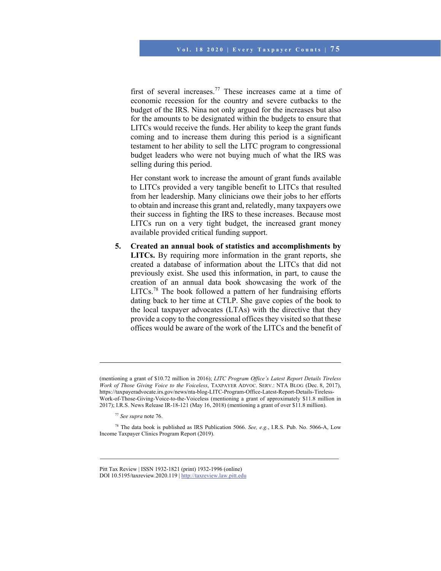first of several increases.<sup>77</sup> These increases came at a time of economic recession for the country and severe cutbacks to the budget of the IRS. Nina not only argued for the increases but also for the amounts to be designated within the budgets to ensure that LITCs would receive the funds. Her ability to keep the grant funds coming and to increase them during this period is a significant testament to her ability to sell the LITC program to congressional budget leaders who were not buying much of what the IRS was selling during this period.

Her constant work to increase the amount of grant funds available to LITCs provided a very tangible benefit to LITCs that resulted from her leadership. Many clinicians owe their jobs to her efforts to obtain and increase this grant and, relatedly, many taxpayers owe their success in fighting the IRS to these increases. Because most LITCs run on a very tight budget, the increased grant money available provided critical funding support.

**5. Created an annual book of statistics and accomplishments by LITCs.** By requiring more information in the grant reports, she created a database of information about the LITCs that did not previously exist. She used this information, in part, to cause the creation of an annual data book showcasing the work of the LITCs.<sup>78</sup> The book followed a pattern of her fundraising efforts dating back to her time at CTLP. She gave copies of the book to the local taxpayer advocates (LTAs) with the directive that they provide a copy to the congressional offices they visited so that these offices would be aware of the work of the LITCs and the benefit of

<sup>(</sup>mentioning a grant of \$10.72 million in 2016); *LITC Program Office's Latest Report Details Tireless Work of Those Giving Voice to the Voiceless*, TAXPAYER ADVOC. SERV.: NTA BLOG (Dec. 8, 2017), https://taxpayeradvocate.irs.gov/news/nta-blog-LITC-Program-Office-Latest-Report-Details-Tireless-Work-of-Those-Giving-Voice-to-the-Voiceless (mentioning a grant of approximately \$11.8 million in 2017); I.R.S. News Release IR-18-121 (May 16, 2018) (mentioning a grant of over \$11.8 million).

<sup>77</sup> *See supra* note 76.

<sup>78</sup> The data book is published as IRS Publication 5066. *See, e.g.*, I.R.S. Pub. No. 5066-A, Low Income Taxpayer Clinics Program Report (2019).

Pitt Tax Review | ISSN 1932-1821 (print) 1932-1996 (online) DOI 10.5195/taxreview.2020.119 | http://taxreview.law.pitt.edu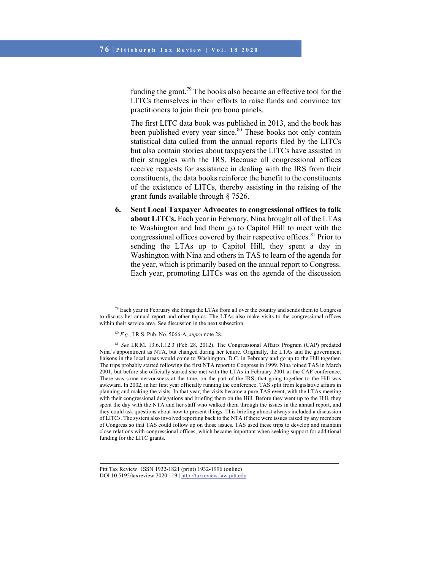funding the grant.<sup>79</sup> The books also became an effective tool for the LITCs themselves in their efforts to raise funds and convince tax practitioners to join their pro bono panels.

The first LITC data book was published in 2013, and the book has been published every year since.<sup>80</sup> These books not only contain statistical data culled from the annual reports filed by the LITCs but also contain stories about taxpayers the LITCs have assisted in their struggles with the IRS. Because all congressional offices receive requests for assistance in dealing with the IRS from their constituents, the data books reinforce the benefit to the constituents of the existence of LITCs, thereby assisting in the raising of the grant funds available through § 7526.

**6. Sent Local Taxpayer Advocates to congressional offices to talk about LITCs.** Each year in February, Nina brought all of the LTAs to Washington and had them go to Capitol Hill to meet with the congressional offices covered by their respective offices.<sup>81</sup> Prior to sending the LTAs up to Capitol Hill, they spent a day in Washington with Nina and others in TAS to learn of the agenda for the year, which is primarily based on the annual report to Congress. Each year, promoting LITCs was on the agenda of the discussion

<sup>&</sup>lt;sup>79</sup> Each year in February she brings the LTAs from all over the country and sends them to Congress to discuss her annual report and other topics. The LTAs also make visits to the congressional offices within their service area. See discussion in the next subsection.

<sup>80</sup> *E.g.*, I.R.S. Pub. No. 5066-A, *supra* note 28.

<sup>81</sup> *See* I.R.M. 13.6.1.12.3 (Feb. 28, 2012). The Congressional Affairs Program (CAP) predated Nina's appointment as NTA, but changed during her tenure. Originally, the LTAs and the government liaisons in the local areas would come to Washington, D.C. in February and go up to the Hill together. The trips probably started following the first NTA report to Congress in 1999. Nina joined TAS in March 2001, but before she officially started she met with the LTAs in February 2001 at the CAP conference. There was some nervousness at the time, on the part of the IRS, that going together to the Hill was awkward. In 2002, in her first year officially running the conference, TAS split from legislative affairs in planning and making the visits. In that year, the visits became a pure TAS event, with the LTAs meeting with their congressional delegations and briefing them on the Hill. Before they went up to the Hill, they spent the day with the NTA and her staff who walked them through the issues in the annual report, and they could ask questions about how to present things. This briefing almost always included a discussion of LITCs. The system also involved reporting back to the NTA if there were issues raised by any members of Congress so that TAS could follow up on those issues. TAS used these trips to develop and maintain close relations with congressional offices, which became important when seeking support for additional funding for the LITC grants.

Pitt Tax Review | ISSN 1932-1821 (print) 1932-1996 (online) DOI 10.5195/taxreview.2020.119 | http://taxreview.law.pitt.edu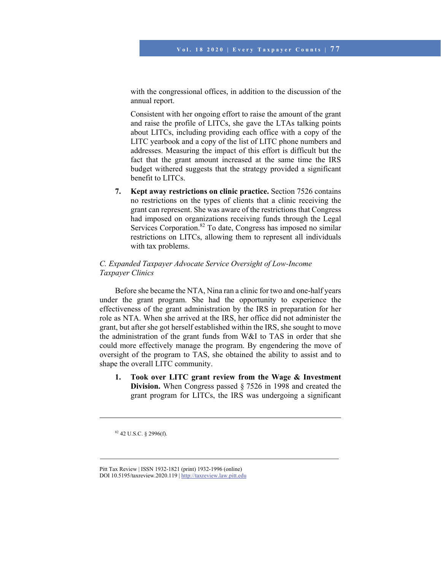with the congressional offices, in addition to the discussion of the annual report.

Consistent with her ongoing effort to raise the amount of the grant and raise the profile of LITCs, she gave the LTAs talking points about LITCs, including providing each office with a copy of the LITC yearbook and a copy of the list of LITC phone numbers and addresses. Measuring the impact of this effort is difficult but the fact that the grant amount increased at the same time the IRS budget withered suggests that the strategy provided a significant benefit to LITCs.

**7. Kept away restrictions on clinic practice.** Section 7526 contains no restrictions on the types of clients that a clinic receiving the grant can represent. She was aware of the restrictions that Congress had imposed on organizations receiving funds through the Legal Services Corporation.<sup>82</sup> To date, Congress has imposed no similar restrictions on LITCs, allowing them to represent all individuals with tax problems.

## *C. Expanded Taxpayer Advocate Service Oversight of Low-Income Taxpayer Clinics*

Before she became the NTA, Nina ran a clinic for two and one-half years under the grant program. She had the opportunity to experience the effectiveness of the grant administration by the IRS in preparation for her role as NTA. When she arrived at the IRS, her office did not administer the grant, but after she got herself established within the IRS, she sought to move the administration of the grant funds from W&I to TAS in order that she could more effectively manage the program. By engendering the move of oversight of the program to TAS, she obtained the ability to assist and to shape the overall LITC community.

**1. Took over LITC grant review from the Wage & Investment Division.** When Congress passed § 7526 in 1998 and created the grant program for LITCs, the IRS was undergoing a significant

82 42 U.S.C. § 2996(f).

 $\overline{a}$ 

Pitt Tax Review | ISSN 1932-1821 (print) 1932-1996 (online) DOI 10.5195/taxreview.2020.119 | http://taxreview.law.pitt.edu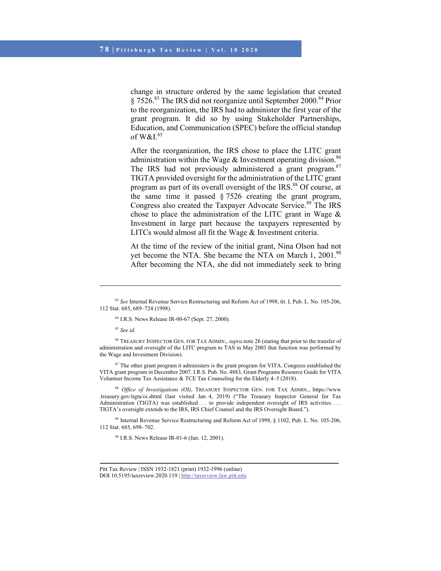change in structure ordered by the same legislation that created § 7526.83 The IRS did not reorganize until September 2000.84 Prior to the reorganization, the IRS had to administer the first year of the grant program. It did so by using Stakeholder Partnerships, Education, and Communication (SPEC) before the official standup of W $&$ I $^{85}$ 

After the reorganization, the IRS chose to place the LITC grant administration within the Wage  $&$  Investment operating division.<sup>86</sup> The IRS had not previously administered a grant program. $87$ TIGTA provided oversight for the administration of the LITC grant program as part of its overall oversight of the IRS.<sup>88</sup> Of course, at the same time it passed  $\S 7526$  creating the grant program, Congress also created the Taxpayer Advocate Service.<sup>89</sup> The IRS chose to place the administration of the LITC grant in Wage  $\&$ Investment in large part because the taxpayers represented by LITCs would almost all fit the Wage & Investment criteria.

At the time of the review of the initial grant, Nina Olson had not yet become the NTA. She became the NTA on March 1, 2001.<sup>90</sup> After becoming the NTA, she did not immediately seek to bring

84 I.R.S. News Release IR-00-67 (Sept. 27, 2000).

<sup>85</sup> *See id.*

l

86 TREASURY INSPECTOR GEN. FOR TAX ADMIN., *supra* note 26 (stating that prior to the transfer of administration and oversight of the LITC program to TAS in May 2003 that function was performed by the Wage and Investment Division).

<sup>87</sup> The other grant program it administers is the grant program for VITA. Congress established the VITA grant program in December 2007. I.R.S. Pub. No. 4883, Grant Programs Resource Guide for VITA Volunteer Income Tax Assistance & TCE Tax Counseling for the Elderly 4–5 (2018).

<sup>88</sup> *Office of Investigations (OI)*, TREASURY INSPECTOR GEN. FOR TAX ADMIN., https://www .treasury.gov/tigta/oi.shtml (last visited Jan. 4, 2019) ("The Treasury Inspector General for Tax Administration (TIGTA) was established . . . to provide independent oversight of IRS activities. . . . TIGTA's oversight extends to the IRS, IRS Chief Counsel and the IRS Oversight Board.").

89 Internal Revenue Service Restructuring and Reform Act of 1998, § 1102, Pub. L. No. 105-206, 112 Stat. 685, 698–702.

90 I.R.S. News Release IR-01-6 (Jan. 12, 2001).

<sup>83</sup> *See* Internal Revenue Service Restructuring and Reform Act of 1998, tit. I, Pub. L. No. 105-206, 112 Stat. 685, 689–724 (1998).

Pitt Tax Review | ISSN 1932-1821 (print) 1932-1996 (online) DOI 10.5195/taxreview.2020.119 | http://taxreview.law.pitt.edu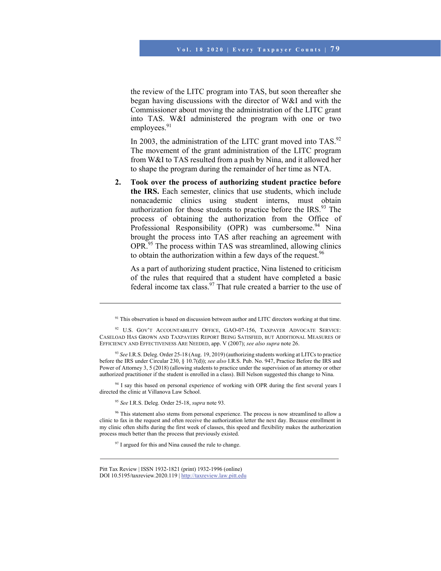the review of the LITC program into TAS, but soon thereafter she began having discussions with the director of W&I and with the Commissioner about moving the administration of the LITC grant into TAS. W&I administered the program with one or two employees. $91$ 

In 2003, the administration of the LITC grant moved into TAS. $92$ The movement of the grant administration of the LITC program from W&I to TAS resulted from a push by Nina, and it allowed her to shape the program during the remainder of her time as NTA.

**2. Took over the process of authorizing student practice before the IRS.** Each semester, clinics that use students, which include nonacademic clinics using student interns, must obtain authorization for those students to practice before the IRS.<sup>93</sup> The process of obtaining the authorization from the Office of Professional Responsibility (OPR) was cumbersome.<sup>94</sup> Nina brought the process into TAS after reaching an agreement with OPR.<sup>95</sup> The process within TAS was streamlined, allowing clinics to obtain the authorization within a few days of the request.<sup>96</sup>

As a part of authorizing student practice, Nina listened to criticism of the rules that required that a student have completed a basic federal income tax class.  $97$  That rule created a barrier to the use of

<sup>93</sup> *See* I.R.S. Deleg. Order 25-18 (Aug. 19, 2019) (authorizing students working at LITCs to practice before the IRS under Circular 230, § 10.7(d)); *see also* I.R.S. Pub. No. 947, Practice Before the IRS and Power of Attorney 3, 5 (2018) (allowing students to practice under the supervision of an attorney or other authorized practitioner if the student is enrolled in a class). Bill Nelson suggested this change to Nina.

<sup>94</sup> I say this based on personal experience of working with OPR during the first several years I directed the clinic at Villanova Law School.

<sup>95</sup> *See* I.R.S. Deleg. Order 25-18, *supra* note 93.

l

<sup>96</sup> This statement also stems from personal experience. The process is now streamlined to allow a clinic to fax in the request and often receive the authorization letter the next day. Because enrollment in my clinic often shifts during the first week of classes, this speed and flexibility makes the authorization process much better than the process that previously existed.

<sup>97</sup> I argued for this and Nina caused the rule to change.

<sup>&</sup>lt;sup>91</sup> This observation is based on discussion between author and LITC directors working at that time.

<sup>92</sup> U.S. GOV'T ACCOUNTABILITY OFFICE, GAO-07-156, TAXPAYER ADVOCATE SERVICE: CASELOAD HAS GROWN AND TAXPAYERS REPORT BEING SATISFIED, BUT ADDITIONAL MEASURES OF EFFICIENCY AND EFFECTIVENESS ARE NEEDED, app. V (2007); *see also supra* note 26.

Pitt Tax Review | ISSN 1932-1821 (print) 1932-1996 (online) DOI 10.5195/taxreview.2020.119 | http://taxreview.law.pitt.edu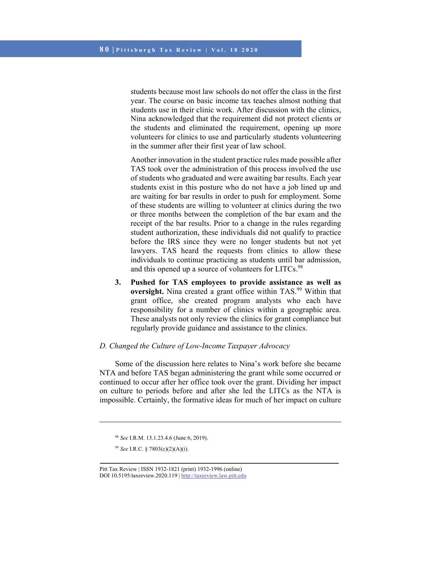students because most law schools do not offer the class in the first year. The course on basic income tax teaches almost nothing that students use in their clinic work. After discussion with the clinics, Nina acknowledged that the requirement did not protect clients or the students and eliminated the requirement, opening up more volunteers for clinics to use and particularly students volunteering in the summer after their first year of law school.

Another innovation in the student practice rules made possible after TAS took over the administration of this process involved the use of students who graduated and were awaiting bar results. Each year students exist in this posture who do not have a job lined up and are waiting for bar results in order to push for employment. Some of these students are willing to volunteer at clinics during the two or three months between the completion of the bar exam and the receipt of the bar results. Prior to a change in the rules regarding student authorization, these individuals did not qualify to practice before the IRS since they were no longer students but not yet lawyers. TAS heard the requests from clinics to allow these individuals to continue practicing as students until bar admission, and this opened up a source of volunteers for LITCs.<sup>98</sup>

**3. Pushed for TAS employees to provide assistance as well as oversight.** Nina created a grant office within TAS.<sup>99</sup> Within that grant office, she created program analysts who each have responsibility for a number of clinics within a geographic area. These analysts not only review the clinics for grant compliance but regularly provide guidance and assistance to the clinics.

## *D. Changed the Culture of Low-Income Taxpayer Advocacy*

Some of the discussion here relates to Nina's work before she became NTA and before TAS began administering the grant while some occurred or continued to occur after her office took over the grant. Dividing her impact on culture to periods before and after she led the LITCs as the NTA is impossible. Certainly, the formative ideas for much of her impact on culture

 $\overline{a}$ 

<sup>98</sup> *See* I.R.M. 13.1.23.4.6 (June 6, 2019).

<sup>99</sup> *See* I.R.C. § 7803(c)(2)(A)(i).

Pitt Tax Review | ISSN 1932-1821 (print) 1932-1996 (online) DOI 10.5195/taxreview.2020.119 | http://taxreview.law.pitt.edu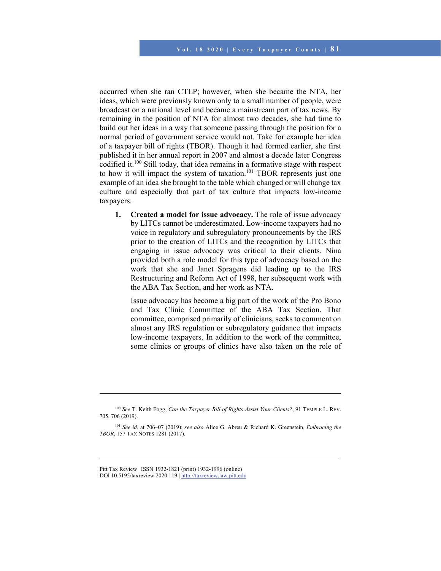occurred when she ran CTLP; however, when she became the NTA, her ideas, which were previously known only to a small number of people, were broadcast on a national level and became a mainstream part of tax news. By remaining in the position of NTA for almost two decades, she had time to build out her ideas in a way that someone passing through the position for a normal period of government service would not. Take for example her idea of a taxpayer bill of rights (TBOR). Though it had formed earlier, she first published it in her annual report in 2007 and almost a decade later Congress codified it.<sup>100</sup> Still today, that idea remains in a formative stage with respect to how it will impact the system of taxation.<sup>101</sup> TBOR represents just one example of an idea she brought to the table which changed or will change tax culture and especially that part of tax culture that impacts low-income taxpayers.

**1. Created a model for issue advocacy.** The role of issue advocacy by LITCs cannot be underestimated. Low-income taxpayers had no voice in regulatory and subregulatory pronouncements by the IRS prior to the creation of LITCs and the recognition by LITCs that engaging in issue advocacy was critical to their clients. Nina provided both a role model for this type of advocacy based on the work that she and Janet Spragens did leading up to the IRS Restructuring and Reform Act of 1998, her subsequent work with the ABA Tax Section, and her work as NTA.

Issue advocacy has become a big part of the work of the Pro Bono and Tax Clinic Committee of the ABA Tax Section. That committee, comprised primarily of clinicians, seeks to comment on almost any IRS regulation or subregulatory guidance that impacts low-income taxpayers. In addition to the work of the committee, some clinics or groups of clinics have also taken on the role of

Pitt Tax Review | ISSN 1932-1821 (print) 1932-1996 (online) DOI 10.5195/taxreview.2020.119 | http://taxreview.law.pitt.edu

<sup>100</sup> *See* T. Keith Fogg, *Can the Taxpayer Bill of Rights Assist Your Clients?*, 91 TEMPLE L. REV. 705, 706 (2019).

<sup>101</sup> *See id.* at 706‒07 (2019); *see also* Alice G. Abreu & Richard K. Greenstein, *Embracing the TBOR*, 157 TAX NOTES 1281 (2017).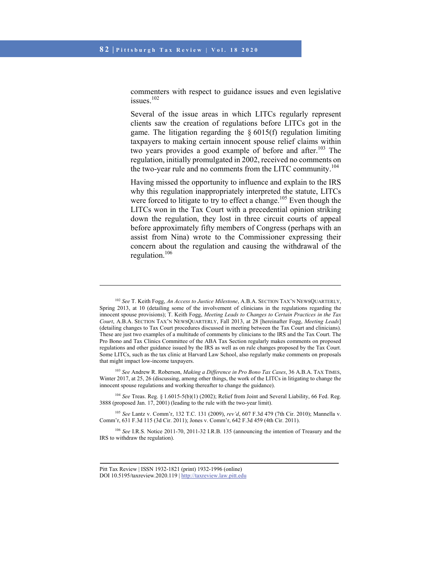commenters with respect to guidance issues and even legislative issues.<sup>102</sup>

Several of the issue areas in which LITCs regularly represent clients saw the creation of regulations before LITCs got in the game. The litigation regarding the  $\S 6015(f)$  regulation limiting taxpayers to making certain innocent spouse relief claims within two years provides a good example of before and after.<sup>103</sup> The regulation, initially promulgated in 2002, received no comments on the two-year rule and no comments from the LITC community.<sup>104</sup>

Having missed the opportunity to influence and explain to the IRS why this regulation inappropriately interpreted the statute, LITCs were forced to litigate to try to effect a change.<sup>105</sup> Even though the LITCs won in the Tax Court with a precedential opinion striking down the regulation, they lost in three circuit courts of appeal before approximately fifty members of Congress (perhaps with an assist from Nina) wrote to the Commissioner expressing their concern about the regulation and causing the withdrawal of the regulation.106

<sup>103</sup> *See* Andrew R. Roberson, *Making a Difference in Pro Bono Tax Cases*, 36 A.B.A. TAX TIMES, Winter 2017, at 25, 26 (discussing, among other things, the work of the LITCs in litigating to change the innocent spouse regulations and working thereafter to change the guidance).

<sup>104</sup> *See* Treas. Reg. § 1.6015-5(b)(1) (2002); Relief from Joint and Several Liability, 66 Fed. Reg. 3888 (proposed Jan. 17, 2001) (leading to the rule with the two-year limit).

<sup>105</sup> *See* Lantz v. Comm'r, 132 T.C. 131 (2009), *rev'd*, 607 F.3d 479 (7th Cir. 2010); Mannella v. Comm'r, 631 F.3d 115 (3d Cir. 2011); Jones v. Comm'r, 642 F.3d 459 (4th Cir. 2011).

<sup>106</sup> *See* I.R.S. Notice 2011-70, 2011-32 I.R.B. 135 (announcing the intention of Treasury and the IRS to withdraw the regulation).

<sup>102</sup> *See* T. Keith Fogg, *An Access to Justice Milestone*, A.B.A. SECTION TAX'N NEWSQUARTERLY, Spring 2013, at 10 (detailing some of the involvement of clinicians in the regulations regarding the innocent spouse provisions); T. Keith Fogg, *Meeting Leads to Changes to Certain Practices in the Tax Court*, A.B.A. SECTION TAX'N NEWSQUARTERLY, Fall 2013, at 28 [hereinafter Fogg, *Meeting Leads*] (detailing changes to Tax Court procedures discussed in meeting between the Tax Court and clinicians). These are just two examples of a multitude of comments by clinicians to the IRS and the Tax Court. The Pro Bono and Tax Clinics Committee of the ABA Tax Section regularly makes comments on proposed regulations and other guidance issued by the IRS as well as on rule changes proposed by the Tax Court. Some LITCs, such as the tax clinic at Harvard Law School, also regularly make comments on proposals that might impact low-income taxpayers.

Pitt Tax Review | ISSN 1932-1821 (print) 1932-1996 (online) DOI 10.5195/taxreview.2020.119 | http://taxreview.law.pitt.edu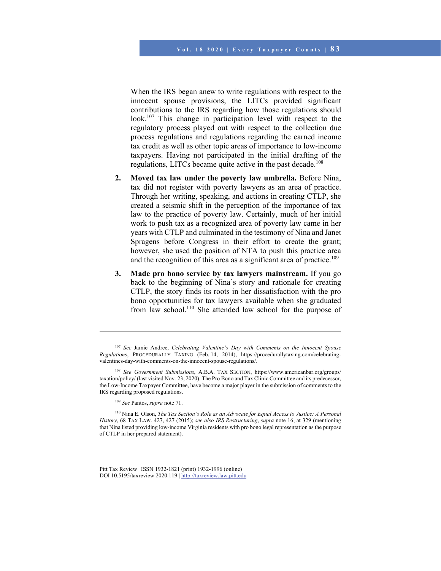When the IRS began anew to write regulations with respect to the innocent spouse provisions, the LITCs provided significant contributions to the IRS regarding how those regulations should look.<sup>107</sup> This change in participation level with respect to the regulatory process played out with respect to the collection due process regulations and regulations regarding the earned income tax credit as well as other topic areas of importance to low-income taxpayers. Having not participated in the initial drafting of the regulations, LITCs became quite active in the past decade.<sup>108</sup>

- **2. Moved tax law under the poverty law umbrella.** Before Nina, tax did not register with poverty lawyers as an area of practice. Through her writing, speaking, and actions in creating CTLP, she created a seismic shift in the perception of the importance of tax law to the practice of poverty law. Certainly, much of her initial work to push tax as a recognized area of poverty law came in her years with CTLP and culminated in the testimony of Nina and Janet Spragens before Congress in their effort to create the grant; however, she used the position of NTA to push this practice area and the recognition of this area as a significant area of practice.<sup>109</sup>
- **3. Made pro bono service by tax lawyers mainstream.** If you go back to the beginning of Nina's story and rationale for creating CTLP, the story finds its roots in her dissatisfaction with the pro bono opportunities for tax lawyers available when she graduated from law school.<sup>110</sup> She attended law school for the purpose of

<sup>107</sup> *See* Jamie Andree, *Celebrating Valentine's Day with Comments on the Innocent Spouse Regulations*, PROCEDURALLY TAXING (Feb. 14, 2014), https://procedurallytaxing.com/celebratingvalentines-day-with-comments-on-the-innocent-spouse-regulations/.

<sup>108</sup> *See Government Submissions*, A.B.A. TAX SECTION, https://www.americanbar.org/groups/ taxation/policy/ (last visited Nov. 23, 2020). The Pro Bono and Tax Clinic Committee and its predecessor, the Low-Income Taxpayer Committee, have become a major player in the submission of comments to the IRS regarding proposed regulations.

<sup>109</sup> *See* Pantos, *supra* note 71.

<sup>110</sup> Nina E. Olson, *The Tax Section's Role as an Advocate for Equal Access to Justice: A Personal History*, 68 TAX LAW. 427, 427 (2015); *see also IRS Restructuring*, *supra* note 16, at 329 (mentioning that Nina listed providing low-income Virginia residents with pro bono legal representation as the purpose of CTLP in her prepared statement).

Pitt Tax Review | ISSN 1932-1821 (print) 1932-1996 (online) DOI 10.5195/taxreview.2020.119 | http://taxreview.law.pitt.edu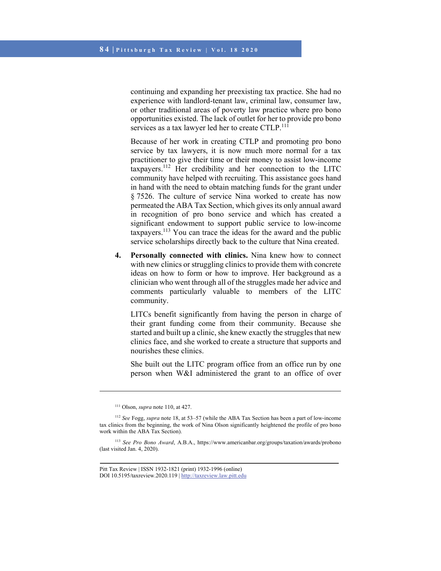continuing and expanding her preexisting tax practice. She had no experience with landlord-tenant law, criminal law, consumer law, or other traditional areas of poverty law practice where pro bono opportunities existed. The lack of outlet for her to provide pro bono services as a tax lawyer led her to create CTLP.<sup>111</sup>

Because of her work in creating CTLP and promoting pro bono service by tax lawyers, it is now much more normal for a tax practitioner to give their time or their money to assist low-income taxpayers.112 Her credibility and her connection to the LITC community have helped with recruiting. This assistance goes hand in hand with the need to obtain matching funds for the grant under § 7526. The culture of service Nina worked to create has now permeated the ABA Tax Section, which gives its only annual award in recognition of pro bono service and which has created a significant endowment to support public service to low-income taxpayers.<sup>113</sup> You can trace the ideas for the award and the public service scholarships directly back to the culture that Nina created.

**4. Personally connected with clinics.** Nina knew how to connect with new clinics or struggling clinics to provide them with concrete ideas on how to form or how to improve. Her background as a clinician who went through all of the struggles made her advice and comments particularly valuable to members of the LITC community.

LITCs benefit significantly from having the person in charge of their grant funding come from their community. Because she started and built up a clinic, she knew exactly the struggles that new clinics face, and she worked to create a structure that supports and nourishes these clinics.

She built out the LITC program office from an office run by one person when W&I administered the grant to an office of over

<sup>111</sup> Olson, *supra* note 110, at 427.

<sup>112</sup> *See* Fogg, *supra* note 18, at 53–57 (while the ABA Tax Section has been a part of low-income tax clinics from the beginning, the work of Nina Olson significantly heightened the profile of pro bono work within the ABA Tax Section).

<sup>113</sup> *See Pro Bono Award*, A.B.A., https://www.americanbar.org/groups/taxation/awards/probono (last visited Jan. 4, 2020).

Pitt Tax Review | ISSN 1932-1821 (print) 1932-1996 (online) DOI 10.5195/taxreview.2020.119 | http://taxreview.law.pitt.edu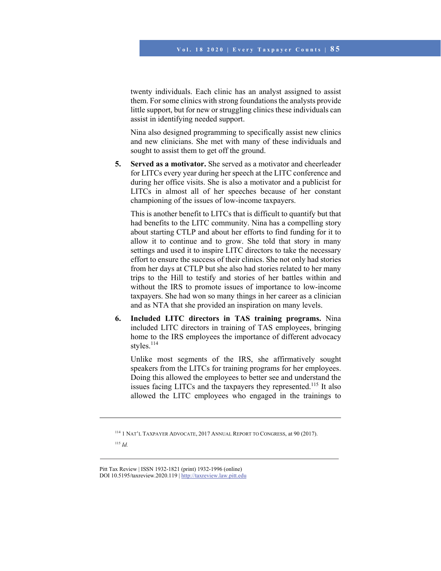twenty individuals. Each clinic has an analyst assigned to assist them. For some clinics with strong foundations the analysts provide little support, but for new or struggling clinics these individuals can assist in identifying needed support.

Nina also designed programming to specifically assist new clinics and new clinicians. She met with many of these individuals and sought to assist them to get off the ground.

**5. Served as a motivator.** She served as a motivator and cheerleader for LITCs every year during her speech at the LITC conference and during her office visits. She is also a motivator and a publicist for LITCs in almost all of her speeches because of her constant championing of the issues of low-income taxpayers.

This is another benefit to LITCs that is difficult to quantify but that had benefits to the LITC community. Nina has a compelling story about starting CTLP and about her efforts to find funding for it to allow it to continue and to grow. She told that story in many settings and used it to inspire LITC directors to take the necessary effort to ensure the success of their clinics. She not only had stories from her days at CTLP but she also had stories related to her many trips to the Hill to testify and stories of her battles within and without the IRS to promote issues of importance to low-income taxpayers. She had won so many things in her career as a clinician and as NTA that she provided an inspiration on many levels.

**6. Included LITC directors in TAS training programs.** Nina included LITC directors in training of TAS employees, bringing home to the IRS employees the importance of different advocacy styles.<sup>114</sup>

Unlike most segments of the IRS, she affirmatively sought speakers from the LITCs for training programs for her employees. Doing this allowed the employees to better see and understand the issues facing LITCs and the taxpayers they represented.<sup>115</sup> It also allowed the LITC employees who engaged in the trainings to

114 1 NAT'L TAXPAYER ADVOCATE, 2017 ANNUAL REPORT TO CONGRESS, at 90 (2017).

 $\overline{a}$ 

<sup>115</sup> *Id.*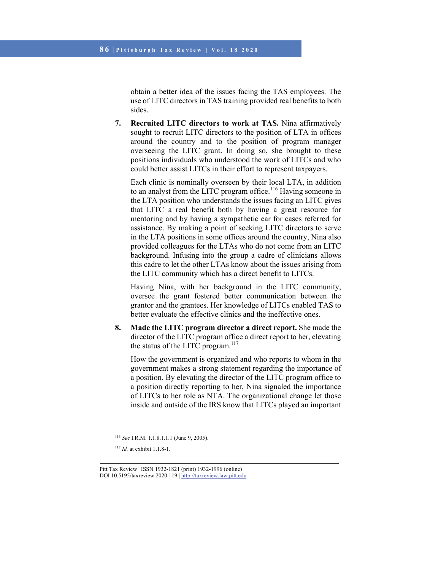obtain a better idea of the issues facing the TAS employees. The use of LITC directors in TAS training provided real benefits to both sides.

**7. Recruited LITC directors to work at TAS.** Nina affirmatively sought to recruit LITC directors to the position of LTA in offices around the country and to the position of program manager overseeing the LITC grant. In doing so, she brought to these positions individuals who understood the work of LITCs and who could better assist LITCs in their effort to represent taxpayers.

Each clinic is nominally overseen by their local LTA, in addition to an analyst from the LITC program office.<sup>116</sup> Having someone in the LTA position who understands the issues facing an LITC gives that LITC a real benefit both by having a great resource for mentoring and by having a sympathetic ear for cases referred for assistance. By making a point of seeking LITC directors to serve in the LTA positions in some offices around the country, Nina also provided colleagues for the LTAs who do not come from an LITC background. Infusing into the group a cadre of clinicians allows this cadre to let the other LTAs know about the issues arising from the LITC community which has a direct benefit to LITCs.

Having Nina, with her background in the LITC community, oversee the grant fostered better communication between the grantor and the grantees. Her knowledge of LITCs enabled TAS to better evaluate the effective clinics and the ineffective ones.

**8. Made the LITC program director a direct report.** She made the director of the LITC program office a direct report to her, elevating the status of the LITC program. $117$ 

How the government is organized and who reports to whom in the government makes a strong statement regarding the importance of a position. By elevating the director of the LITC program office to a position directly reporting to her, Nina signaled the importance of LITCs to her role as NTA. The organizational change let those inside and outside of the IRS know that LITCs played an important

<sup>117</sup> *Id.* at exhibit 1.1.8-1.

 $\overline{a}$ 

<sup>116</sup> *See* I.R.M. 1.1.8.1.1.1 (June 9, 2005).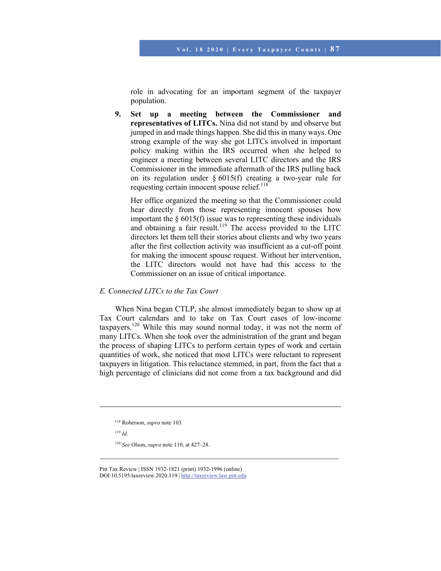role in advocating for an important segment of the taxpayer population.

**9. Set up a meeting between the Commissioner and representatives of LITCs.** Nina did not stand by and observe but jumped in and made things happen. She did this in many ways. One strong example of the way she got LITCs involved in important policy making within the IRS occurred when she helped to engineer a meeting between several LITC directors and the IRS Commissioner in the immediate aftermath of the IRS pulling back on its regulation under § 6015(f) creating a two-year rule for requesting certain innocent spouse relief.<sup>118</sup>

Her office organized the meeting so that the Commissioner could hear directly from those representing innocent spouses how important the  $\S$  6015(f) issue was to representing these individuals and obtaining a fair result.<sup>119</sup> The access provided to the LITC directors let them tell their stories about clients and why two years after the first collection activity was insufficient as a cut-off point for making the innocent spouse request. Without her intervention, the LITC directors would not have had this access to the Commissioner on an issue of critical importance.

## *E. Connected LITCs to the Tax Court*

When Nina began CTLP, she almost immediately began to show up at Tax Court calendars and to take on Tax Court cases of low-income taxpayers.120 While this may sound normal today, it was not the norm of many LITCs. When she took over the administration of the grant and began the process of shaping LITCs to perform certain types of work and certain quantities of work, she noticed that most LITCs were reluctant to represent taxpayers in litigation. This reluctance stemmed, in part, from the fact that a high percentage of clinicians did not come from a tax background and did

<sup>119</sup> *Id.*

l

<sup>118</sup> Roberson, *supra* note 103.

<sup>120</sup> *See* Olson, *supra* note 110, at 427–28.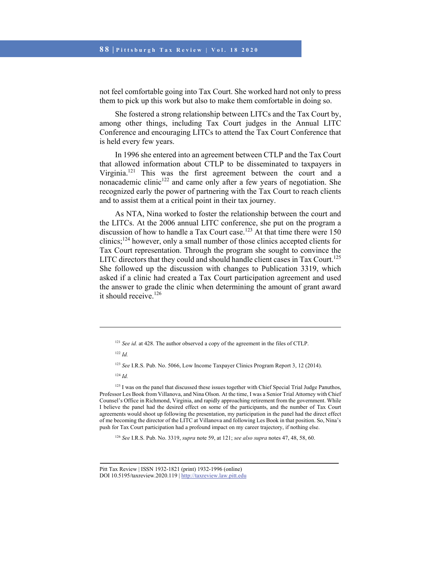not feel comfortable going into Tax Court. She worked hard not only to press them to pick up this work but also to make them comfortable in doing so.

She fostered a strong relationship between LITCs and the Tax Court by, among other things, including Tax Court judges in the Annual LITC Conference and encouraging LITCs to attend the Tax Court Conference that is held every few years.

In 1996 she entered into an agreement between CTLP and the Tax Court that allowed information about CTLP to be disseminated to taxpayers in Virginia.121 This was the first agreement between the court and a nonacademic clinic<sup>122</sup> and came only after a few years of negotiation. She recognized early the power of partnering with the Tax Court to reach clients and to assist them at a critical point in their tax journey.

As NTA, Nina worked to foster the relationship between the court and the LITCs. At the 2006 annual LITC conference, she put on the program a discussion of how to handle a Tax Court case.<sup>123</sup> At that time there were 150 clinics;124 however, only a small number of those clinics accepted clients for Tax Court representation. Through the program she sought to convince the LITC directors that they could and should handle client cases in Tax Court.<sup>125</sup> She followed up the discussion with changes to Publication 3319, which asked if a clinic had created a Tax Court participation agreement and used the answer to grade the clinic when determining the amount of grant award it should receive. $126$ 

l

<sup>125</sup> I was on the panel that discussed these issues together with Chief Special Trial Judge Panuthos, Professor Les Book from Villanova, and Nina Olson. At the time, I was a Senior Trial Attorney with Chief Counsel's Office in Richmond, Virginia, and rapidly approaching retirement from the government. While I believe the panel had the desired effect on some of the participants, and the number of Tax Court agreements would shoot up following the presentation, my participation in the panel had the direct effect of me becoming the director of the LITC at Villanova and following Les Book in that position. So, Nina's push for Tax Court participation had a profound impact on my career trajectory, if nothing else.

<sup>126</sup> *See* I.R.S. Pub. No. 3319, *supra* note 59, at 121; *see also supra* notes 47, 48, 58, 60.

<sup>&</sup>lt;sup>121</sup> *See id.* at 428. The author observed a copy of the agreement in the files of CTLP.

<sup>122</sup> *Id.*

<sup>123</sup> *See* I.R.S. Pub. No. 5066, Low Income Taxpayer Clinics Program Report 3, 12 (2014).

<sup>124</sup> *Id.*

Pitt Tax Review | ISSN 1932-1821 (print) 1932-1996 (online) DOI 10.5195/taxreview.2020.119 | http://taxreview.law.pitt.edu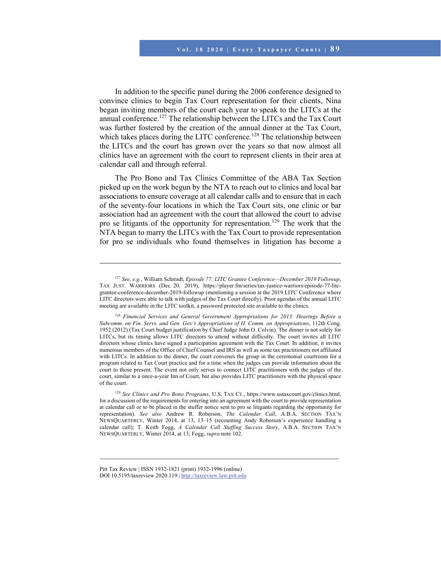In addition to the specific panel during the 2006 conference designed to convince clinics to begin Tax Court representation for their clients, Nina began inviting members of the court each year to speak to the LITCs at the annual conference.<sup>127</sup> The relationship between the LITCs and the Tax Court was further fostered by the creation of the annual dinner at the Tax Court, which takes places during the LITC conference.<sup>128</sup> The relationship between the LITCs and the court has grown over the years so that now almost all clinics have an agreement with the court to represent clients in their area at calendar call and through referral.

The Pro Bono and Tax Clinics Committee of the ABA Tax Section picked up on the work begun by the NTA to reach out to clinics and local bar associations to ensure coverage at all calendar calls and to ensure that in each of the seventy-four locations in which the Tax Court sits, one clinic or bar association had an agreement with the court that allowed the court to advise pro se litigants of the opportunity for representation.129 The work that the NTA began to marry the LITCs with the Tax Court to provide representation for pro se individuals who found themselves in litigation has become a

<sup>127</sup> *See, e.g.*, William Schmidt, *Episode 77: LITC Grantee Conference—December 2019 Followup*, TAX JUST. WARRIORS (Dec. 20, 2019), https://player.fm/series/tax-justice-warriors/episode-77-litcgrantee-conference-december-2019-followup (mentioning a session at the 2019 LITC Conference where LITC directors were able to talk with judges of the Tax Court directly). Prior agendas of the annual LITC meeting are available in the LITC toolkit, a password protected site available to the clinics.

<sup>128</sup> *Financial Services and General Government Appropriations for 2013: Hearings Before a Subcomm. on Fin. Servs. and Gen. Gov't Appropriations of H. Comm. on Appropriations*, 112th Cong. 1952 (2012) (Tax Court budget justification by Chief Judge John O. Colvin). The dinner is not solely for LITCs, but its timing allows LITC directors to attend without difficulty. The court invites all LITC directors whose clinics have signed a participation agreement with the Tax Court. In addition, it invites numerous members of the Office of Chief Counsel and IRS as well as some tax practitioners not affiliated with LITCs. In addition to the dinner, the court convenes the group in the ceremonial courtroom for a program related to Tax Court practice and for a time when the judges can provide information about the court to those present. The event not only serves to connect LITC practitioners with the judges of the court, similar to a once-a-year Inn of Court, but also provides LITC practitioners with the physical space of the court.

<sup>129</sup> *See Clinics and Pro Bono Programs*, U.S. TAX CT., https://www.ustaxcourt.gov/clinics.html, for a discussion of the requirements for entering into an agreement with the court to provide representation at calendar call or to be placed in the stuffer notice sent to pro se litigants regarding the opportunity for representation). *See also* Andrew R. Roberson, *The Calendar Call*, A.B.A. SECTION TAX'N NEWSQUARTERLY, Winter 2014, at 13, 13–15 (recounting Andy Roberson's experience handling a calendar call); T. Keith Fogg, *A Calendar Call Staffing Success Story*, A.B.A. SECTION TAX'N NEWSQUARTERLY, Winter 2014, at 13; Fogg, *supra* note 102.

Pitt Tax Review | ISSN 1932-1821 (print) 1932-1996 (online) DOI 10.5195/taxreview.2020.119 | http://taxreview.law.pitt.edu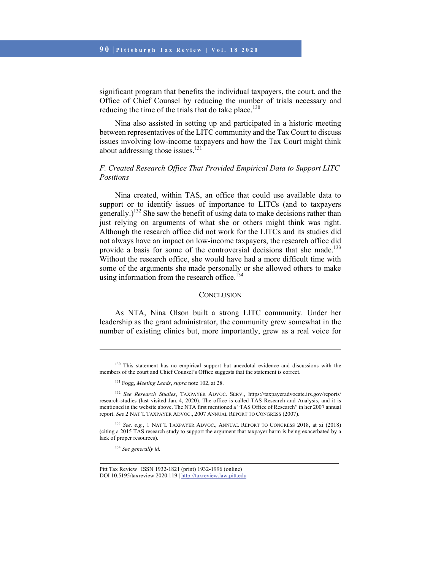significant program that benefits the individual taxpayers, the court, and the Office of Chief Counsel by reducing the number of trials necessary and reducing the time of the trials that do take place.<sup>130</sup>

Nina also assisted in setting up and participated in a historic meeting between representatives of the LITC community and the Tax Court to discuss issues involving low-income taxpayers and how the Tax Court might think about addressing those issues.<sup>131</sup>

# *F. Created Research Office That Provided Empirical Data to Support LITC Positions*

Nina created, within TAS, an office that could use available data to support or to identify issues of importance to LITCs (and to taxpayers generally.)<sup>132</sup> She saw the benefit of using data to make decisions rather than just relying on arguments of what she or others might think was right. Although the research office did not work for the LITCs and its studies did not always have an impact on low-income taxpayers, the research office did provide a basis for some of the controversial decisions that she made.<sup>133</sup> Without the research office, she would have had a more difficult time with some of the arguments she made personally or she allowed others to make using information from the research office. $134$ 

#### **CONCLUSION**

As NTA, Nina Olson built a strong LITC community. Under her leadership as the grant administrator, the community grew somewhat in the number of existing clinics but, more importantly, grew as a real voice for

<sup>134</sup> *See generally id.*

<sup>&</sup>lt;sup>130</sup> This statement has no empirical support but anecdotal evidence and discussions with the members of the court and Chief Counsel's Office suggests that the statement is correct.

<sup>131</sup> Fogg, *Meeting Leads*, *supra* note 102, at 28.

<sup>132</sup> *See Research Studies*, TAXPAYER ADVOC. SERV., https://taxpayeradvocate.irs.gov/reports/ research-studies (last visited Jan. 4, 2020). The office is called TAS Research and Analysis, and it is mentioned in the website above. The NTA first mentioned a "TAS Office of Research" in her 2007 annual report. *See* 2 NAT'L TAXPAYER ADVOC., 2007 ANNUAL REPORT TO CONGRESS (2007).

<sup>133</sup> *See, e.g.*, 1 NAT'L TAXPAYER ADVOC., ANNUAL REPORT TO CONGRESS 2018, at xi (2018) (citing a 2015 TAS research study to support the argument that taxpayer harm is being exacerbated by a lack of proper resources).

Pitt Tax Review | ISSN 1932-1821 (print) 1932-1996 (online) DOI 10.5195/taxreview.2020.119 | http://taxreview.law.pitt.edu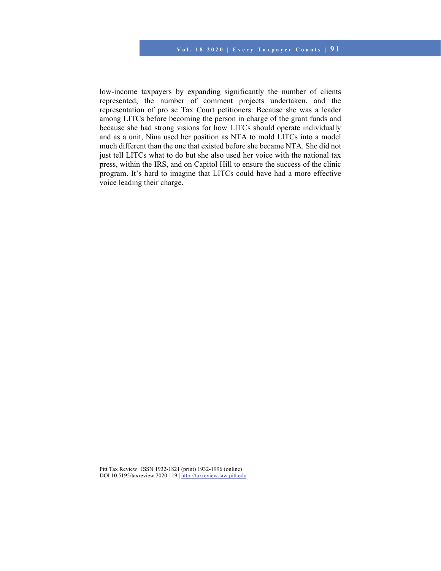low-income taxpayers by expanding significantly the number of clients represented, the number of comment projects undertaken, and the representation of pro se Tax Court petitioners. Because she was a leader among LITCs before becoming the person in charge of the grant funds and because she had strong visions for how LITCs should operate individually and as a unit, Nina used her position as NTA to mold LITCs into a model much different than the one that existed before she became NTA. She did not just tell LITCs what to do but she also used her voice with the national tax press, within the IRS, and on Capitol Hill to ensure the success of the clinic program. It's hard to imagine that LITCs could have had a more effective voice leading their charge.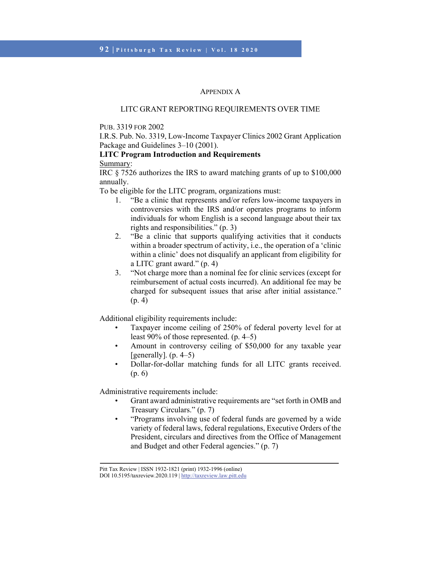#### APPENDIX A

## LITC GRANT REPORTING REQUIREMENTS OVER TIME

## PUB. 3319 FOR 2002

I.R.S. Pub. No. 3319, Low-Income Taxpayer Clinics 2002 Grant Application Package and Guidelines 3–10 (2001).

# **LITC Program Introduction and Requirements**

## Summary:

IRC § 7526 authorizes the IRS to award matching grants of up to \$100,000 annually.

To be eligible for the LITC program, organizations must:

- 1. "Be a clinic that represents and/or refers low-income taxpayers in controversies with the IRS and/or operates programs to inform individuals for whom English is a second language about their tax rights and responsibilities." (p. 3)
- 2. "Be a clinic that supports qualifying activities that it conducts within a broader spectrum of activity, i.e., the operation of a 'clinic within a clinic' does not disqualify an applicant from eligibility for a LITC grant award." (p. 4)
- 3. "Not charge more than a nominal fee for clinic services (except for reimbursement of actual costs incurred). An additional fee may be charged for subsequent issues that arise after initial assistance." (p. 4)

Additional eligibility requirements include:

- Taxpayer income ceiling of 250% of federal poverty level for at least 90% of those represented. (p. 4–5)
- Amount in controversy ceiling of \$50,000 for any taxable year [generally].  $(p. 4-5)$ ]
- Dollar-for-dollar matching funds for all LITC grants received. (p. 6)

Administrative requirements include:

- Grant award administrative requirements are "set forth in OMB and Treasury Circulars." (p. 7)
- "Programs involving use of federal funds are governed by a wide variety of federal laws, federal regulations, Executive Orders of the President, circulars and directives from the Office of Management and Budget and other Federal agencies." (p. 7)

Pitt Tax Review | ISSN 1932-1821 (print) 1932-1996 (online)

DOI 10.5195/taxreview.2020.119 | http://taxreview.law.pitt.edu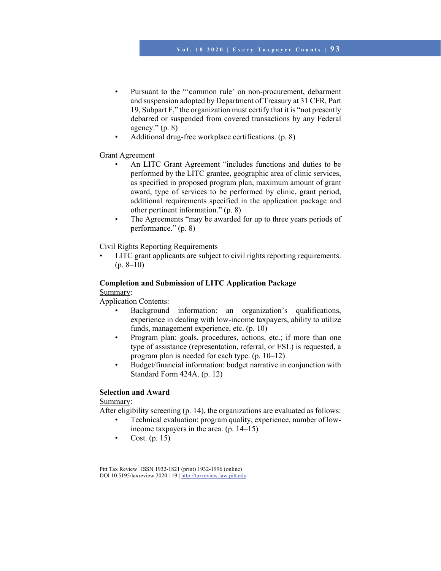- Pursuant to the ""common rule" on non-procurement, debarment and suspension adopted by Department of Treasury at 31 CFR, Part 19, Subpart F," the organization must certify that it is "not presently debarred or suspended from covered transactions by any Federal agency."  $(p. 8)$
- Additional drug-free workplace certifications. (p. 8)

### Grant Agreement

- An LITC Grant Agreement "includes functions and duties to be performed by the LITC grantee, geographic area of clinic services, as specified in proposed program plan, maximum amount of grant award, type of services to be performed by clinic, grant period, additional requirements specified in the application package and other pertinent information." (p. 8)
- The Agreements "may be awarded for up to three years periods of performance." (p. 8)

Civil Rights Reporting Requirements

• LITC grant applicants are subject to civil rights reporting requirements.  $(p. 8-10)$ 

## **Completion and Submission of LITC Application Package**  Summary:

Application Contents:

- Background information: an organization's qualifications, experience in dealing with low-income taxpayers, ability to utilize funds, management experience, etc. (p. 10)
- Program plan: goals, procedures, actions, etc.; if more than one type of assistance (representation, referral, or ESL) is requested, a program plan is needed for each type. (p. 10–12)
- Budget/financial information: budget narrative in conjunction with Standard Form 424A. (p. 12)

### **Selection and Award**

Summary:

After eligibility screening (p. 14), the organizations are evaluated as follows:

- Technical evaluation: program quality, experience, number of lowincome taxpayers in the area. (p. 14–15)
- Cost. (p. 15)

Pitt Tax Review | ISSN 1932-1821 (print) 1932-1996 (online) DOI 10.5195/taxreview.2020.119 | http://taxreview.law.pitt.edu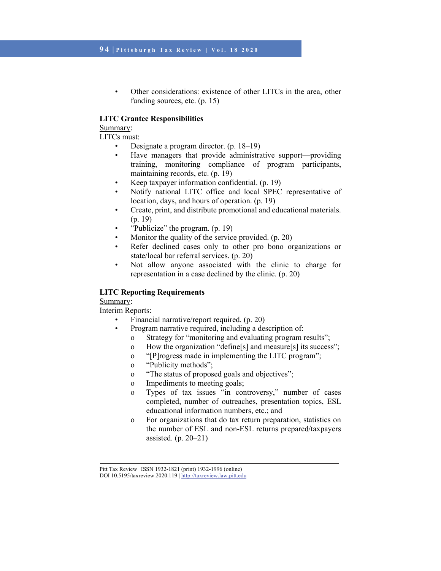• Other considerations: existence of other LITCs in the area, other funding sources, etc. (p. 15)

## **LITC Grantee Responsibilities**

## Summary:

LITCs must:

- Designate a program director. (p. 18–19)
- Have managers that provide administrative support—providing training, monitoring compliance of program participants, maintaining records, etc. (p. 19)
- Keep taxpayer information confidential. (p. 19)
- Notify national LITC office and local SPEC representative of location, days, and hours of operation. (p. 19)
- Create, print, and distribute promotional and educational materials. (p. 19)
- "Publicize" the program. (p. 19)
- Monitor the quality of the service provided. (p. 20)
- Refer declined cases only to other pro bono organizations or state/local bar referral services. (p. 20)
- Not allow anyone associated with the clinic to charge for representation in a case declined by the clinic. (p. 20)

## **LITC Reporting Requirements**

# Summary:

Interim Reports:

- Financial narrative/report required. (p. 20)
	- Program narrative required, including a description of:
		- o Strategy for "monitoring and evaluating program results";
		- o How the organization "define[s] and measure[s] its success";
		- o "[P]rogress made in implementing the LITC program";
		- o "Publicity methods";
		- o "The status of proposed goals and objectives";
		- o Impediments to meeting goals;
		- o Types of tax issues "in controversy," number of cases completed, number of outreaches, presentation topics, ESL educational information numbers, etc.; and
		- o For organizations that do tax return preparation, statistics on the number of ESL and non-ESL returns prepared/taxpayers assisted. (p. 20–21)

Pitt Tax Review | ISSN 1932-1821 (print) 1932-1996 (online)

DOI 10.5195/taxreview.2020.119 | http://taxreview.law.pitt.edu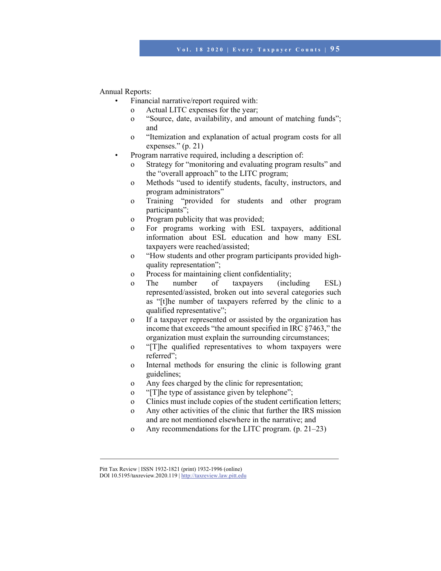Annual Reports:

- Financial narrative/report required with:
	- o Actual LITC expenses for the year;
	- o "Source, date, availability, and amount of matching funds"; and
	- o "Itemization and explanation of actual program costs for all expenses." (p. 21)
- Program narrative required, including a description of:
	- o Strategy for "monitoring and evaluating program results" and the "overall approach" to the LITC program;
	- o Methods "used to identify students, faculty, instructors, and program administrators"
	- o Training "provided for students and other program participants";
	- o Program publicity that was provided;
	- o For programs working with ESL taxpayers, additional information about ESL education and how many ESL taxpayers were reached/assisted;
	- o "How students and other program participants provided highquality representation";
	- o Process for maintaining client confidentiality;
	- o The number of taxpayers (including ESL) represented/assisted, broken out into several categories such as "[t]he number of taxpayers referred by the clinic to a qualified representative";
	- o If a taxpayer represented or assisted by the organization has income that exceeds "the amount specified in IRC §7463," the organization must explain the surrounding circumstances;
	- o "[T]he qualified representatives to whom taxpayers were referred";
	- o Internal methods for ensuring the clinic is following grant guidelines;
	- o Any fees charged by the clinic for representation;
	- o "[T]he type of assistance given by telephone";
	- o Clinics must include copies of the student certification letters;
	- o Any other activities of the clinic that further the IRS mission and are not mentioned elsewhere in the narrative; and
	- o Any recommendations for the LITC program. (p. 21–23)

Pitt Tax Review | ISSN 1932-1821 (print) 1932-1996 (online)

DOI 10.5195/taxreview.2020.119 | http://taxreview.law.pitt.edu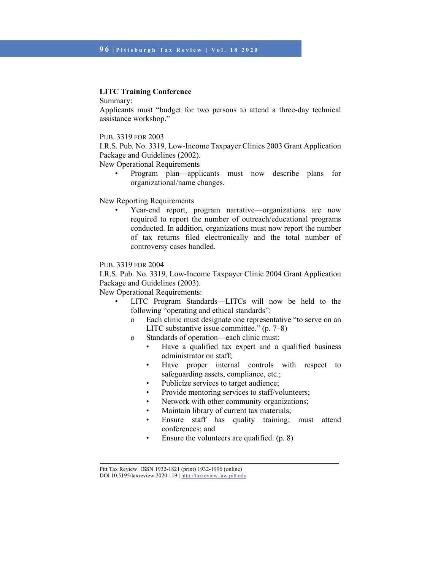### **LITC Training Conference**

Summary:

Applicants must "budget for two persons to attend a three-day technical assistance workshop."

#### PUB. 3319 FOR 2003

I.R.S. Pub. No. 3319, Low-Income Taxpayer Clinics 2003 Grant Application Package and Guidelines (2002).

New Operational Requirements

• Program plan—applicants must now describe plans for organizational/name changes.

New Reporting Requirements

• Year-end report, program narrative—organizations are now required to report the number of outreach/educational programs conducted. In addition, organizations must now report the number of tax returns filed electronically and the total number of controversy cases handled.

PUB. 3319 FOR 2004

I.R.S. Pub. No. 3319, Low-Income Taxpayer Clinic 2004 Grant Application Package and Guidelines (2003).

New Operational Requirements:

- LITC Program Standards-LITCs will now be held to the following "operating and ethical standards":
	- o Each clinic must designate one representative "to serve on an LITC substantive issue committee." (p. 7–8)
	- o Standards of operation—each clinic must:
		- Have a qualified tax expert and a qualified business administrator on staff;
		- Have proper internal controls with respect to safeguarding assets, compliance, etc.;
		- Publicize services to target audience;
		- Provide mentoring services to staff/volunteers;
		- Network with other community organizations;
		- Maintain library of current tax materials;
		- Ensure staff has quality training; must attend conferences; and
		- Ensure the volunteers are qualified. (p. 8)

Pitt Tax Review | ISSN 1932-1821 (print) 1932-1996 (online)

DOI 10.5195/taxreview.2020.119 | http://taxreview.law.pitt.edu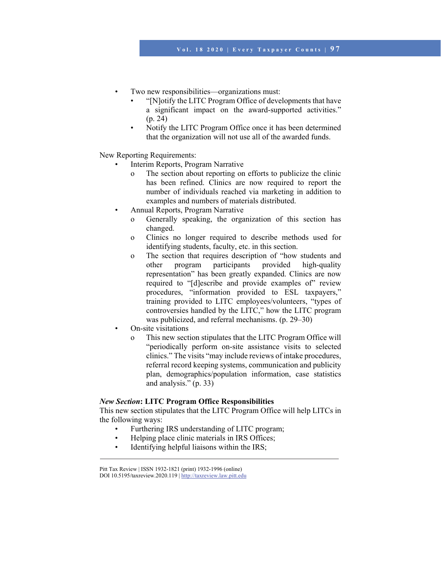- Two new responsibilities—organizations must:
	- "[N]otify the LITC Program Office of developments that have a significant impact on the award-supported activities." (p. 24)
	- Notify the LITC Program Office once it has been determined that the organization will not use all of the awarded funds.

New Reporting Requirements:

- Interim Reports, Program Narrative
	- o The section about reporting on efforts to publicize the clinic has been refined. Clinics are now required to report the number of individuals reached via marketing in addition to examples and numbers of materials distributed.
- Annual Reports, Program Narrative
	- o Generally speaking, the organization of this section has changed.
	- o Clinics no longer required to describe methods used for identifying students, faculty, etc. in this section.
	- o The section that requires description of "how students and other program participants provided high-quality representation" has been greatly expanded. Clinics are now required to "[d]escribe and provide examples of" review procedures, "information provided to ESL taxpayers," training provided to LITC employees/volunteers, "types of controversies handled by the LITC," how the LITC program was publicized, and referral mechanisms. (p. 29–30)
- On-site visitations
	- o This new section stipulates that the LITC Program Office will "periodically perform on-site assistance visits to selected clinics." The visits "may include reviews of intake procedures, referral record keeping systems, communication and publicity plan, demographics/population information, case statistics and analysis." (p. 33)

### *New Section***: LITC Program Office Responsibilities**

This new section stipulates that the LITC Program Office will help LITCs in the following ways:

- Furthering IRS understanding of LITC program;
- Helping place clinic materials in IRS Offices;
- Identifying helpful liaisons within the IRS;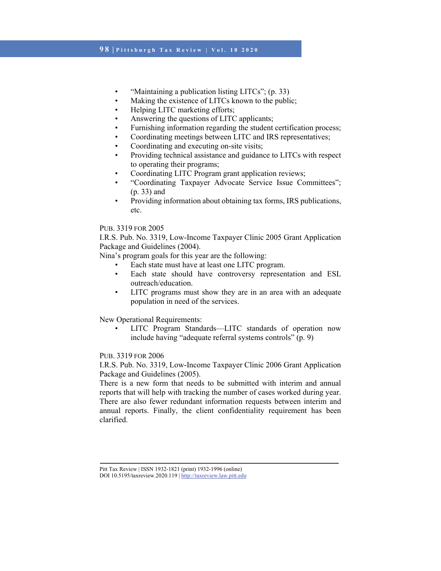## **9 8 | Pittsburgh Tax Review | Vol. 18 2020**

- "Maintaining a publication listing LITCs"; (p. 33)
- Making the existence of LITCs known to the public;
- Helping LITC marketing efforts;
- Answering the questions of LITC applicants;
- Furnishing information regarding the student certification process;
- Coordinating meetings between LITC and IRS representatives;
- Coordinating and executing on-site visits;
- Providing technical assistance and guidance to LITCs with respect to operating their programs;
- Coordinating LITC Program grant application reviews;
- "Coordinating Taxpayer Advocate Service Issue Committees"; (p. 33) and
- Providing information about obtaining tax forms, IRS publications, etc.

## PUB. 3319 FOR 2005

I.R.S. Pub. No. 3319, Low-Income Taxpayer Clinic 2005 Grant Application Package and Guidelines (2004).

Nina's program goals for this year are the following:

- Each state must have at least one LITC program.
- Each state should have controversy representation and ESL outreach/education.
- LITC programs must show they are in an area with an adequate population in need of the services.

New Operational Requirements:

LITC Program Standards—LITC standards of operation now include having "adequate referral systems controls" (p. 9)

### PUB. 3319 FOR 2006

I.R.S. Pub. No. 3319, Low-Income Taxpayer Clinic 2006 Grant Application Package and Guidelines (2005).

There is a new form that needs to be submitted with interim and annual reports that will help with tracking the number of cases worked during year. There are also fewer redundant information requests between interim and annual reports. Finally, the client confidentiality requirement has been clarified.

Pitt Tax Review | ISSN 1932-1821 (print) 1932-1996 (online)

DOI 10.5195/taxreview.2020.119 | http://taxreview.law.pitt.edu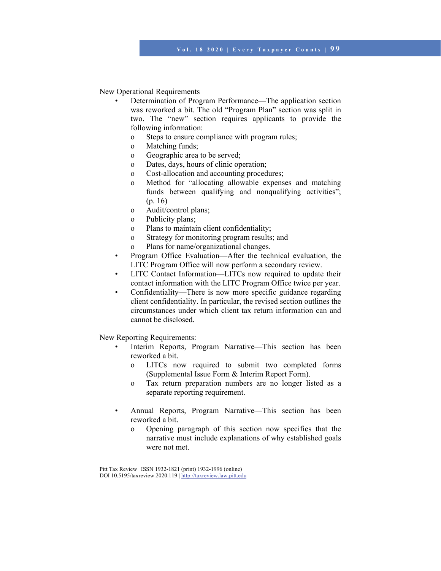New Operational Requirements

- Determination of Program Performance—The application section was reworked a bit. The old "Program Plan" section was split in two. The "new" section requires applicants to provide the following information:
	- o Steps to ensure compliance with program rules;
	- o Matching funds;
	- o Geographic area to be served;
	- o Dates, days, hours of clinic operation;
	- o Cost-allocation and accounting procedures;
	- o Method for "allocating allowable expenses and matching funds between qualifying and nonqualifying activities"; (p. 16)
	- o Audit/control plans;
	- o Publicity plans;
	- o Plans to maintain client confidentiality;
	- o Strategy for monitoring program results; and
	- o Plans for name/organizational changes.
- Program Office Evaluation—After the technical evaluation, the LITC Program Office will now perform a secondary review.
- LITC Contact Information—LITCs now required to update their contact information with the LITC Program Office twice per year.
- Confidentiality—There is now more specific guidance regarding client confidentiality. In particular, the revised section outlines the circumstances under which client tax return information can and cannot be disclosed.

New Reporting Requirements:

- Interim Reports, Program Narrative—This section has been reworked a bit.
	- o LITCs now required to submit two completed forms (Supplemental Issue Form & Interim Report Form).
	- o Tax return preparation numbers are no longer listed as a separate reporting requirement.
- Annual Reports, Program Narrative—This section has been reworked a bit.
	- o Opening paragraph of this section now specifies that the narrative must include explanations of why established goals were not met.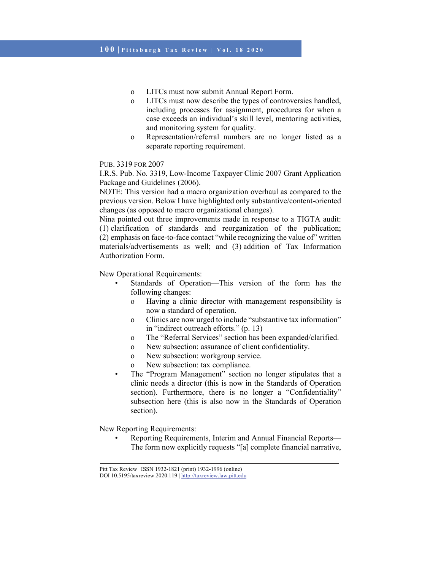- o LITCs must now submit Annual Report Form.
- o LITCs must now describe the types of controversies handled, including processes for assignment, procedures for when a case exceeds an individual's skill level, mentoring activities, and monitoring system for quality.
- o Representation/referral numbers are no longer listed as a separate reporting requirement.

I.R.S. Pub. No. 3319, Low-Income Taxpayer Clinic 2007 Grant Application Package and Guidelines (2006).

NOTE: This version had a macro organization overhaul as compared to the previous version. Below I have highlighted only substantive/content-oriented changes (as opposed to macro organizational changes).

Nina pointed out three improvements made in response to a TIGTA audit: (1) clarification of standards and reorganization of the publication; (2) emphasis on face-to-face contact "while recognizing the value of" written materials/advertisements as well; and (3) addition of Tax Information Authorization Form.

New Operational Requirements:

- Standards of Operation—This version of the form has the following changes:
	- o Having a clinic director with management responsibility is now a standard of operation.
	- o Clinics are now urged to include "substantive tax information" in "indirect outreach efforts." (p. 13)
	- o The "Referral Services" section has been expanded/clarified.
	- o New subsection: assurance of client confidentiality.
	- o New subsection: workgroup service.
	- New subsection: tax compliance.
- The "Program Management" section no longer stipulates that a clinic needs a director (this is now in the Standards of Operation section). Furthermore, there is no longer a "Confidentiality" subsection here (this is also now in the Standards of Operation section).

New Reporting Requirements:

• Reporting Requirements, Interim and Annual Financial Reports— The form now explicitly requests "[a] complete financial narrative,

Pitt Tax Review | ISSN 1932-1821 (print) 1932-1996 (online) DOI 10.5195/taxreview.2020.119 | http://taxreview.law.pitt.edu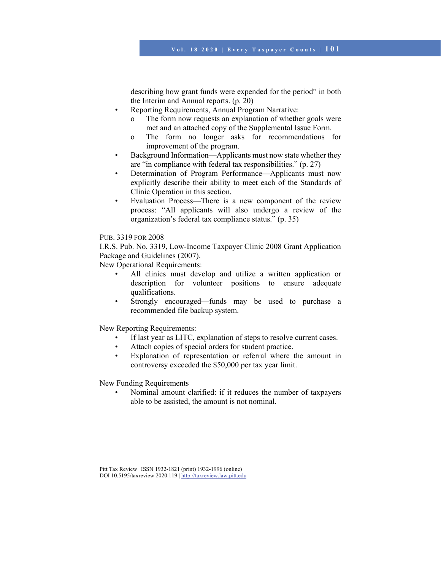describing how grant funds were expended for the period" in both the Interim and Annual reports. (p. 20)

- Reporting Requirements, Annual Program Narrative:
	- o The form now requests an explanation of whether goals were met and an attached copy of the Supplemental Issue Form.
	- o The form no longer asks for recommendations for improvement of the program.
- Background Information—Applicants must now state whether they are "in compliance with federal tax responsibilities." (p. 27)
- Determination of Program Performance—Applicants must now explicitly describe their ability to meet each of the Standards of Clinic Operation in this section.
- Evaluation Process—There is a new component of the review process: "All applicants will also undergo a review of the organization's federal tax compliance status." (p. 35)

### PUB. 3319 FOR 2008

I.R.S. Pub. No. 3319, Low-Income Taxpayer Clinic 2008 Grant Application Package and Guidelines (2007).

New Operational Requirements:

- All clinics must develop and utilize a written application or description for volunteer positions to ensure adequate qualifications.
- Strongly encouraged—funds may be used to purchase a recommended file backup system.

New Reporting Requirements:

- If last year as LITC, explanation of steps to resolve current cases.
- Attach copies of special orders for student practice.
- Explanation of representation or referral where the amount in controversy exceeded the \$50,000 per tax year limit.

New Funding Requirements

• Nominal amount clarified: if it reduces the number of taxpayers able to be assisted, the amount is not nominal.

Pitt Tax Review | ISSN 1932-1821 (print) 1932-1996 (online)

DOI 10.5195/taxreview.2020.119 | http://taxreview.law.pitt.edu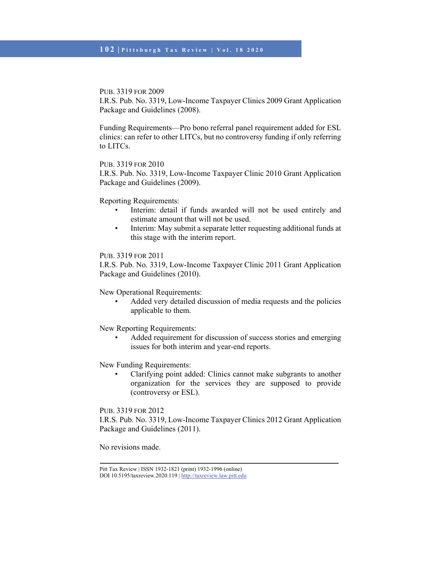I.R.S. Pub. No. 3319, Low-Income Taxpayer Clinics 2009 Grant Application Package and Guidelines (2008).

Funding Requirements—Pro bono referral panel requirement added for ESL clinics: can refer to other LITCs, but no controversy funding if only referring to LITCs.

PUB. 3319 FOR 2010

I.R.S. Pub. No. 3319, Low-Income Taxpayer Clinic 2010 Grant Application Package and Guidelines (2009).

Reporting Requirements:

- Interim: detail if funds awarded will not be used entirely and estimate amount that will not be used.
- Interim: May submit a separate letter requesting additional funds at this stage with the interim report.

## PUB. 3319 FOR 2011

I.R.S. Pub. No. 3319, Low-Income Taxpayer Clinic 2011 Grant Application Package and Guidelines (2010).

New Operational Requirements:

• Added very detailed discussion of media requests and the policies applicable to them.

New Reporting Requirements:

Added requirement for discussion of success stories and emerging issues for both interim and year-end reports.

New Funding Requirements:

• Clarifying point added: Clinics cannot make subgrants to another organization for the services they are supposed to provide (controversy or ESL).

PUB. 3319 FOR 2012

I.R.S. Pub. No. 3319, Low-Income Taxpayer Clinics 2012 Grant Application Package and Guidelines (2011).

No revisions made.

Pitt Tax Review | ISSN 1932-1821 (print) 1932-1996 (online) DOI 10.5195/taxreview.2020.119 | http://taxreview.law.pitt.edu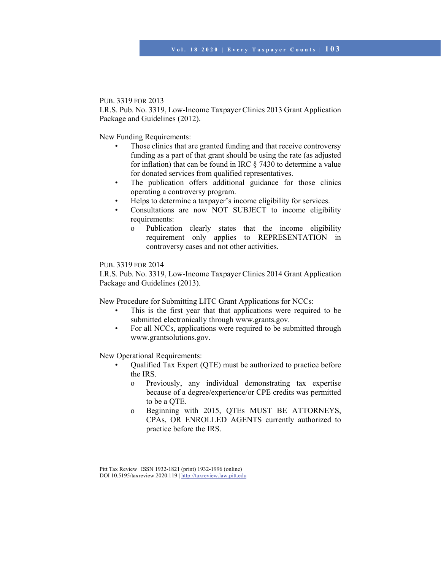I.R.S. Pub. No. 3319, Low-Income Taxpayer Clinics 2013 Grant Application Package and Guidelines (2012).

New Funding Requirements:

- Those clinics that are granted funding and that receive controversy funding as a part of that grant should be using the rate (as adjusted for inflation) that can be found in IRC § 7430 to determine a value for donated services from qualified representatives.
- The publication offers additional guidance for those clinics operating a controversy program.
- Helps to determine a taxpayer's income eligibility for services.
- Consultations are now NOT SUBJECT to income eligibility requirements:
	- o Publication clearly states that the income eligibility requirement only applies to REPRESENTATION in controversy cases and not other activities.

### PUB. 3319 FOR 2014

I.R.S. Pub. No. 3319, Low-Income Taxpayer Clinics 2014 Grant Application Package and Guidelines (2013).

New Procedure for Submitting LITC Grant Applications for NCCs:

- This is the first year that that applications were required to be submitted electronically through www.grants.gov.
- For all NCCs, applications were required to be submitted through www.grantsolutions.gov.

New Operational Requirements:

- Qualified Tax Expert (QTE) must be authorized to practice before the IRS.
	- o Previously, any individual demonstrating tax expertise because of a degree/experience/or CPE credits was permitted to be a QTE.
	- o Beginning with 2015, QTEs MUST BE ATTORNEYS, CPAs, OR ENROLLED AGENTS currently authorized to practice before the IRS.

Pitt Tax Review | ISSN 1932-1821 (print) 1932-1996 (online)

DOI 10.5195/taxreview.2020.119 | http://taxreview.law.pitt.edu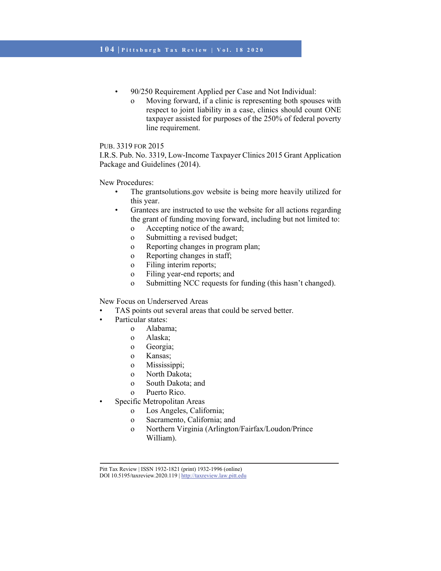- 90/250 Requirement Applied per Case and Not Individual:
	- o Moving forward, if a clinic is representing both spouses with respect to joint liability in a case, clinics should count ONE taxpayer assisted for purposes of the 250% of federal poverty line requirement.

I.R.S. Pub. No. 3319, Low-Income Taxpayer Clinics 2015 Grant Application Package and Guidelines (2014).

New Procedures:

- The grantsolutions.gov website is being more heavily utilized for this year.
- Grantees are instructed to use the website for all actions regarding the grant of funding moving forward, including but not limited to:
	- o Accepting notice of the award;
	- o Submitting a revised budget;
	- o Reporting changes in program plan;
	- o Reporting changes in staff;
	- o Filing interim reports;
	- o Filing year-end reports; and
	- o Submitting NCC requests for funding (this hasn't changed).

New Focus on Underserved Areas

- TAS points out several areas that could be served better.
- Particular states:
	- o Alabama;
	- o Alaska;
	- o Georgia;
	- o Kansas;
	- o Mississippi;
	- o North Dakota;
	- o South Dakota; and
	- o Puerto Rico.
	- Specific Metropolitan Areas
		- o Los Angeles, California;
		- o Sacramento, California; and
		- o Northern Virginia (Arlington/Fairfax/Loudon/Prince William).

Pitt Tax Review | ISSN 1932-1821 (print) 1932-1996 (online)

DOI 10.5195/taxreview.2020.119 | http://taxreview.law.pitt.edu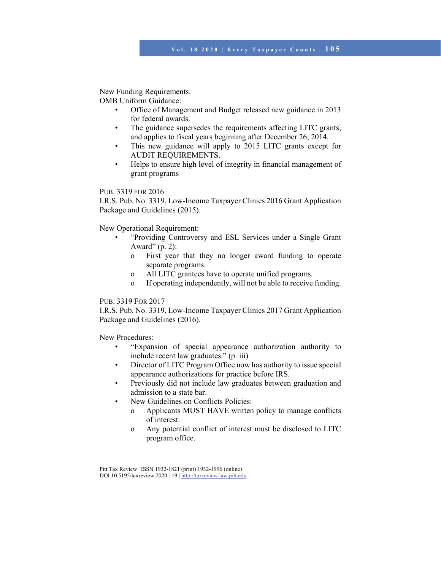New Funding Requirements:

OMB Uniform Guidance:

- Office of Management and Budget released new guidance in 2013 for federal awards.
- The guidance supersedes the requirements affecting LITC grants, and applies to fiscal years beginning after December 26, 2014.
- This new guidance will apply to 2015 LITC grants except for AUDIT REQUIREMENTS.
- Helps to ensure high level of integrity in financial management of grant programs

## PUB. 3319 FOR 2016

I.R.S. Pub. No. 3319, Low-Income Taxpayer Clinics 2016 Grant Application Package and Guidelines (2015).

New Operational Requirement:

- "Providing Controversy and ESL Services under a Single Grant Award"  $(p. 2)$ :
	- o First year that they no longer award funding to operate separate programs.
	- o All LITC grantees have to operate unified programs.
	- o If operating independently, will not be able to receive funding.

# PUB. 3319 FOR 2017

I.R.S. Pub. No. 3319, Low-Income Taxpayer Clinics 2017 Grant Application Package and Guidelines (2016).

New Procedures:

- "Expansion of special appearance authorization authority to include recent law graduates." (p. iii)
- Director of LITC Program Office now has authority to issue special appearance authorizations for practice before IRS.
- Previously did not include law graduates between graduation and admission to a state bar.
- New Guidelines on Conflicts Policies:
	- o Applicants MUST HAVE written policy to manage conflicts of interest.
	- o Any potential conflict of interest must be disclosed to LITC program office.

Pitt Tax Review | ISSN 1932-1821 (print) 1932-1996 (online)

DOI 10.5195/taxreview.2020.119 | http://taxreview.law.pitt.edu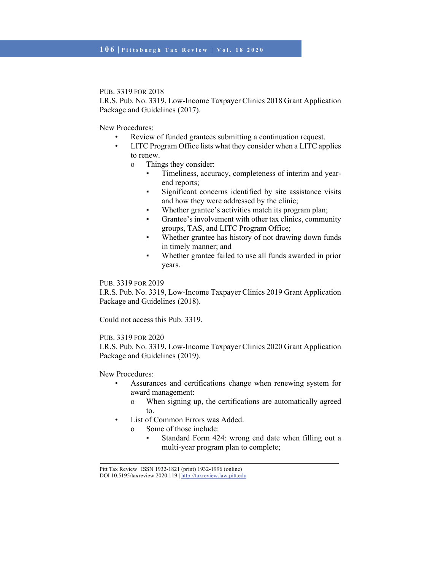I.R.S. Pub. No. 3319, Low-Income Taxpayer Clinics 2018 Grant Application Package and Guidelines (2017).

New Procedures:

- Review of funded grantees submitting a continuation request.
- LITC Program Office lists what they consider when a LITC applies to renew.
	- o Things they consider:
		- Timeliness, accuracy, completeness of interim and yearend reports;
		- Significant concerns identified by site assistance visits and how they were addressed by the clinic;
		- Whether grantee's activities match its program plan;
		- Grantee's involvement with other tax clinics, community groups, TAS, and LITC Program Office;
		- Whether grantee has history of not drawing down funds in timely manner; and
		- Whether grantee failed to use all funds awarded in prior years.

## PUB. 3319 FOR 2019

I.R.S. Pub. No. 3319, Low-Income Taxpayer Clinics 2019 Grant Application Package and Guidelines (2018).

Could not access this Pub. 3319.

## PUB. 3319 FOR 2020

I.R.S. Pub. No. 3319, Low-Income Taxpayer Clinics 2020 Grant Application Package and Guidelines (2019).

New Procedures:

- Assurances and certifications change when renewing system for award management:
	- o When signing up, the certifications are automatically agreed to.
- List of Common Errors was Added.
	- o Some of those include:
		- Standard Form 424: wrong end date when filling out a multi-year program plan to complete;

Pitt Tax Review | ISSN 1932-1821 (print) 1932-1996 (online)

DOI 10.5195/taxreview.2020.119 | http://taxreview.law.pitt.edu